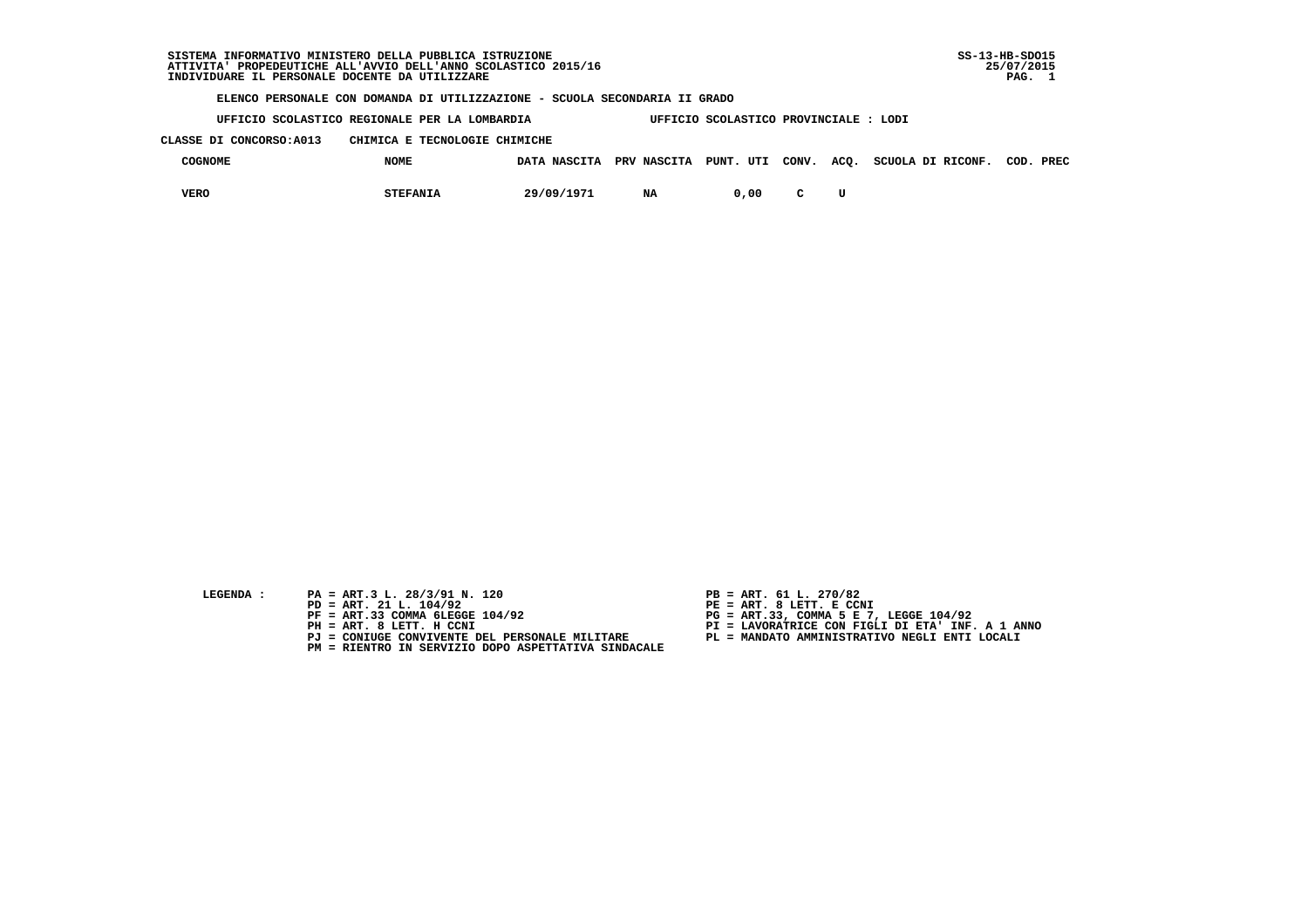#### **SISTEMA INFORMATIVO MINISTERO DELLA PUBBLICA ISTRUZIONE SS-13-HB-SDO15 ATTIVITA' PROPEDEUTICHE ALL'AVVIO DELL'ANNO SCOLASTICO 2015/16 25/07/2015**INDIVIDUARE IL PERSONALE DOCENTE DA UTILIZZARE

 **ELENCO PERSONALE CON DOMANDA DI UTILIZZAZIONE - SCUOLA SECONDARIA II GRADO**

 **UFFICIO SCOLASTICO REGIONALE PER LA LOMBARDIA UFFICIO SCOLASTICO PROVINCIALE : LODI**

 **CLASSE DI CONCORSO:A013 CHIMICA E TECNOLOGIE CHIMICHE**

| <b>COGNOME</b> | <b>NOME</b>     | DATA NASCITA | PRV NASCITA PUNT. UTI CONV. ACQ. |       |  | SCUOLA DI RICONF. | COD. | PREC |
|----------------|-----------------|--------------|----------------------------------|-------|--|-------------------|------|------|
| VERO           | <b>STEFANIA</b> | 29/09/1971   | NA                               | 00, ر |  |                   |      |      |

| LEGENDA : |  |  |
|-----------|--|--|
|           |  |  |

- PA = ART.3 L. 28/3/91 N. 120<br>PD = ART. 21 L. 104/92
- 
- 
- -
- **PM = RIENTRO IN SERVIZIO DOPO ASPETTATIVA SINDACALE**
- 
- **PD = ART. 21 L. 104/92 PE = ART. 8 LETT. E CCNI**
- **PF = ART.33 COMMA 6LEGGE 104/92 PG = ART.33, COMMA 5 E 7, LEGGE 104/92**
- **PH = ART. 8 LETT. H CCNI PI = LAVORATRICE CON FIGLI DI ETA' INF. A 1 ANNO**
	- **PJ = CONIUGE CONVIVENTE DEL PERSONALE MILITARE PL = MANDATO AMMINISTRATIVO NEGLI ENTI LOCALI**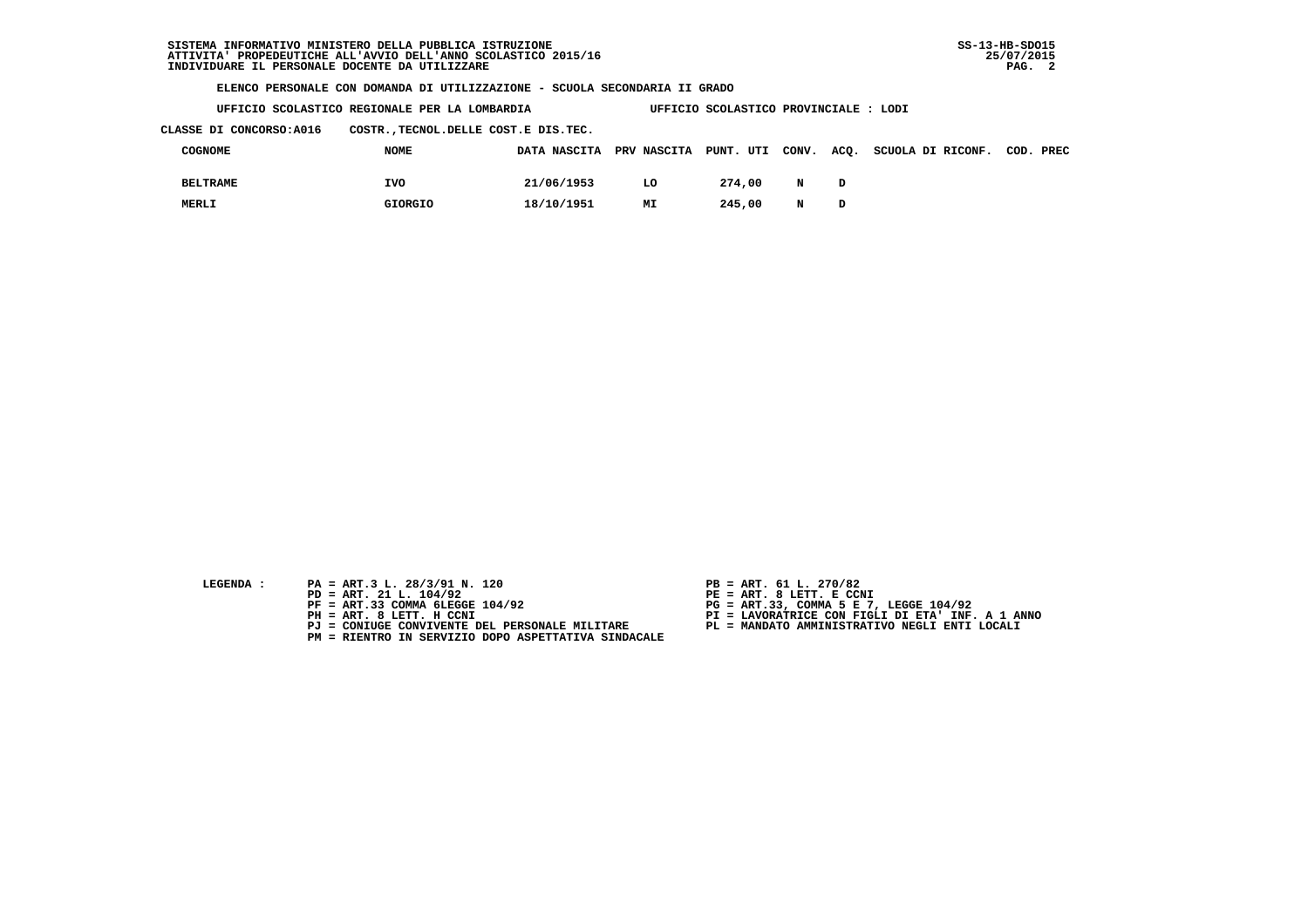**UFFICIO SCOLASTICO REGIONALE PER LA LOMBARDIA UFFICIO SCOLASTICO PROVINCIALE : LODI**

 **CLASSE DI CONCORSO:A016 COSTR.,TECNOL.DELLE COST.E DIS.TEC.**

| COGNOME         | <b>NOME</b>    | DATA NASCITA PRV NASCITA PUNT. UTI CONV. |    |        |   | ACQ. SCUOLA DI RICONF. COD. PREC |  |
|-----------------|----------------|------------------------------------------|----|--------|---|----------------------------------|--|
| <b>BELTRAME</b> | <b>IVO</b>     | 21/06/1953                               | LO | 274.00 | N |                                  |  |
| MERLI           | <b>GIORGIO</b> | 18/10/1951                               | МI | 245,00 | N |                                  |  |

- 
- **LEGENDA :** PA = ART.3 L. 28/3/91 N. 120 <br>PD = ART. 21 L. 104/92 <br>PE = ART. 8 LETT. E CCN  **PD = ART. 21 L. 104/92 PE = ART. 8 LETT. E CCNI**
	-
	-
	-
	- **PM = RIENTRO IN SERVIZIO DOPO ASPETTATIVA SINDACALE**
- 
- 
- 
- **PF = ART.33 COMMA 6LEGGE 104/92 PG = ART.33, COMMA 5 E 7, LEGGE 104/92 PH = ART. 8 LETT. H CCNI PI = LAVORATRICE CON FIGLI DI ETA' INF. A 1 ANNO**
	- **PJ = CONIUGE CONVIVENTE DEL PERSONALE MILITARE PL = MANDATO AMMINISTRATIVO NEGLI ENTI LOCALI**
		-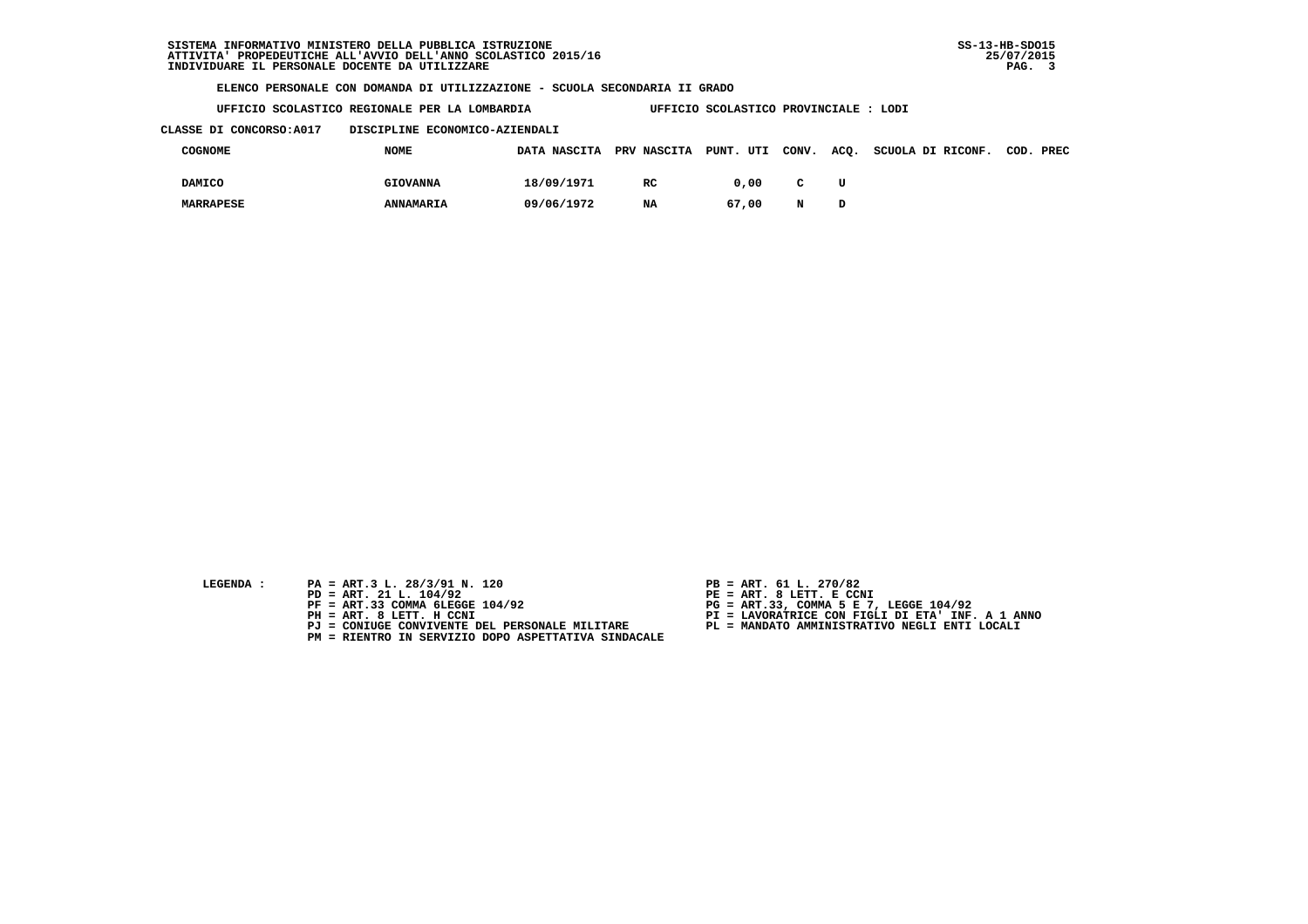**UFFICIO SCOLASTICO REGIONALE PER LA LOMBARDIA UFFICIO SCOLASTICO PROVINCIALE : LODI**

 **CLASSE DI CONCORSO:A017 DISCIPLINE ECONOMICO-AZIENDALI**

| COGNOME          | <b>NOME</b>      | DATA NASCITA PRV NASCITA PUNT. UTI |     |       | CONV.        |   | ACO. SCUOLA DI RICONF. | COD. PREC |
|------------------|------------------|------------------------------------|-----|-------|--------------|---|------------------------|-----------|
| <b>DAMICO</b>    | <b>GIOVANNA</b>  | 18/09/1971                         | RC. | 0.00  | $\mathbf{C}$ | U |                        |           |
| <b>MARRAPESE</b> | <b>ANNAMARIA</b> | 09/06/1972                         | NA  | 67,00 | N            |   |                        |           |

- 
- **LEGENDA :** PA = ART.3 L. 28/3/91 N. 120 <br>PD = ART. 21 L. 104/92 <br>PE = ART. 8 LETT. E CCN  **PD = ART. 21 L. 104/92 PE = ART. 8 LETT. E CCNI**
	-
	-
	-
	- **PM = RIENTRO IN SERVIZIO DOPO ASPETTATIVA SINDACALE**
- 
- 
- 
- **PF = ART.33 COMMA 6LEGGE 104/92 PG = ART.33, COMMA 5 E 7, LEGGE 104/92 PH = ART. 8 LETT. H CCNI PI = LAVORATRICE CON FIGLI DI ETA' INF. A 1 ANNO**
	- **PJ = CONIUGE CONVIVENTE DEL PERSONALE MILITARE PL = MANDATO AMMINISTRATIVO NEGLI ENTI LOCALI**
		-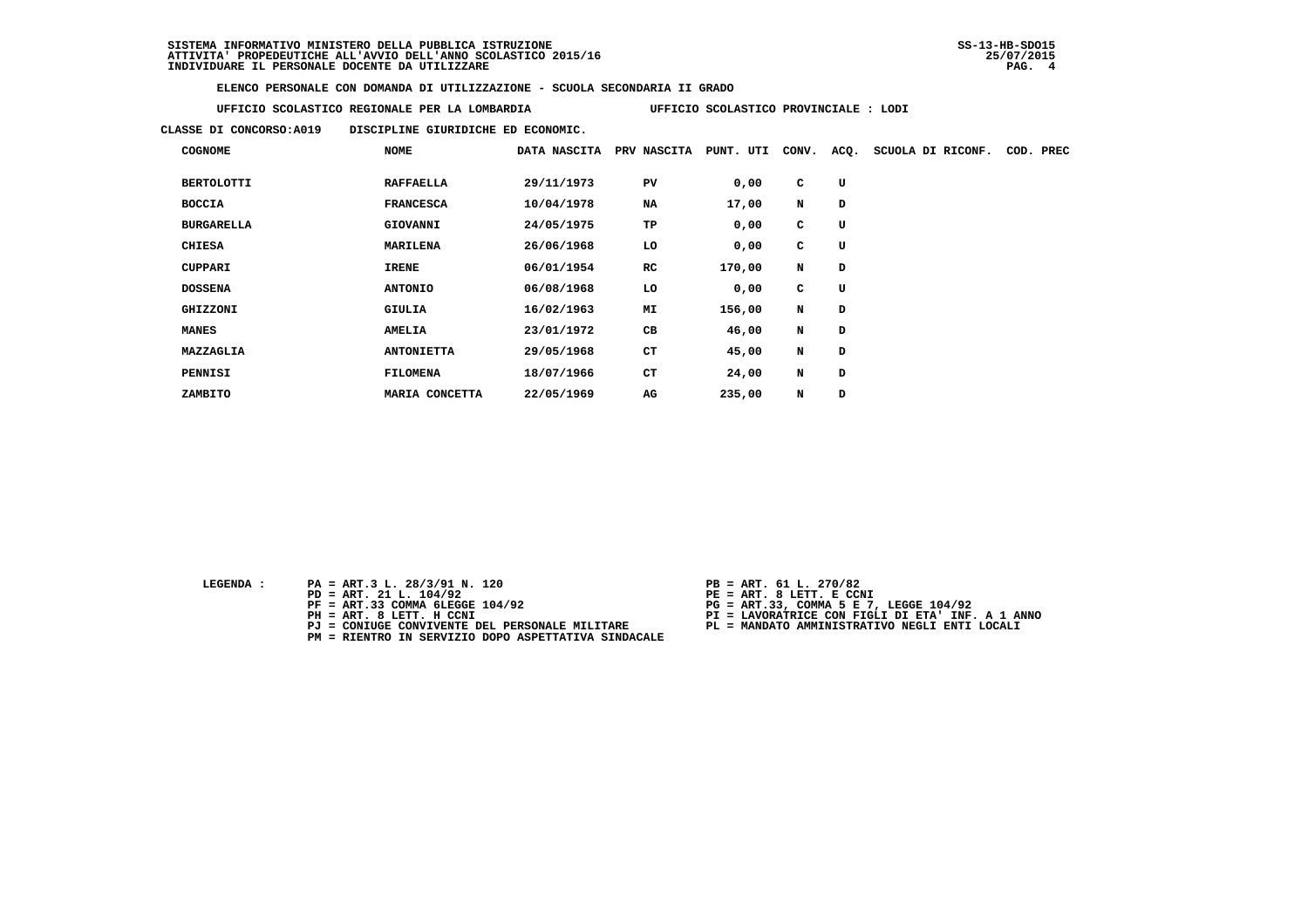**UFFICIO SCOLASTICO REGIONALE PER LA LOMBARDIA UFFICIO SCOLASTICO PROVINCIALE : LODI**

 **CLASSE DI CONCORSO:A019 DISCIPLINE GIURIDICHE ED ECONOMIC.**

| <b>COGNOME</b>    | NOME              | DATA NASCITA | PRV NASCITA | PUNT. UTI | CONV. | ACQ. | SCUOLA DI RICONF. | COD. | PREC |
|-------------------|-------------------|--------------|-------------|-----------|-------|------|-------------------|------|------|
| <b>BERTOLOTTI</b> | <b>RAFFAELLA</b>  | 29/11/1973   | PV          | 0,00      | C     | U    |                   |      |      |
| <b>BOCCIA</b>     | <b>FRANCESCA</b>  | 10/04/1978   | NA          | 17,00     | N     | D    |                   |      |      |
| <b>BURGARELLA</b> | <b>GIOVANNI</b>   | 24/05/1975   | TP          | 0,00      | C     | U    |                   |      |      |
| <b>CHIESA</b>     | <b>MARILENA</b>   | 26/06/1968   | LO          | 0,00      | C     | U    |                   |      |      |
| <b>CUPPARI</b>    | <b>IRENE</b>      | 06/01/1954   | RC          | 170,00    | N     | D    |                   |      |      |
| <b>DOSSENA</b>    | <b>ANTONIO</b>    | 06/08/1968   | LO          | 0,00      | C     | U    |                   |      |      |
| GHIZZONI          | GIULIA            | 16/02/1963   | MI          | 156,00    | N     | D    |                   |      |      |
| <b>MANES</b>      | <b>AMELIA</b>     | 23/01/1972   | CВ          | 46,00     | N     | D    |                   |      |      |
| MAZZAGLIA         | <b>ANTONIETTA</b> | 29/05/1968   | <b>CT</b>   | 45,00     | N     | D    |                   |      |      |
| PENNISI           | <b>FILOMENA</b>   | 18/07/1966   | <b>CT</b>   | 24,00     | N     | D    |                   |      |      |
| ZAMBITO           | MARIA CONCETTA    | 22/05/1969   | AG          | 235,00    | N     | D    |                   |      |      |

 **LEGENDA :** PA = ART.3 L. 28/3/91 N. 120 <br>PD = ART. 21 L. 104/92 <br>PE = ART. 8 LETT. E CCN

- 
- 
- 
- 
- **PM = RIENTRO IN SERVIZIO DOPO ASPETTATIVA SINDACALE**
- 
- **PD = ART. 21 L. 104/92 PE = ART. 8 LETT. E CCNI**
	-
- **PF = ART.33 COMMA 6LEGGE 104/92 PG = ART.33, COMMA 5 E 7, LEGGE 104/92 PH = ART. 8 LETT. H CCNI PI = LAVORATRICE CON FIGLI DI ETA' INF. A 1 ANNO**
	- **PJ = CONIUGE CONVIVENTE DEL PERSONALE MILITARE PL = MANDATO AMMINISTRATIVO NEGLI ENTI LOCALI**
		-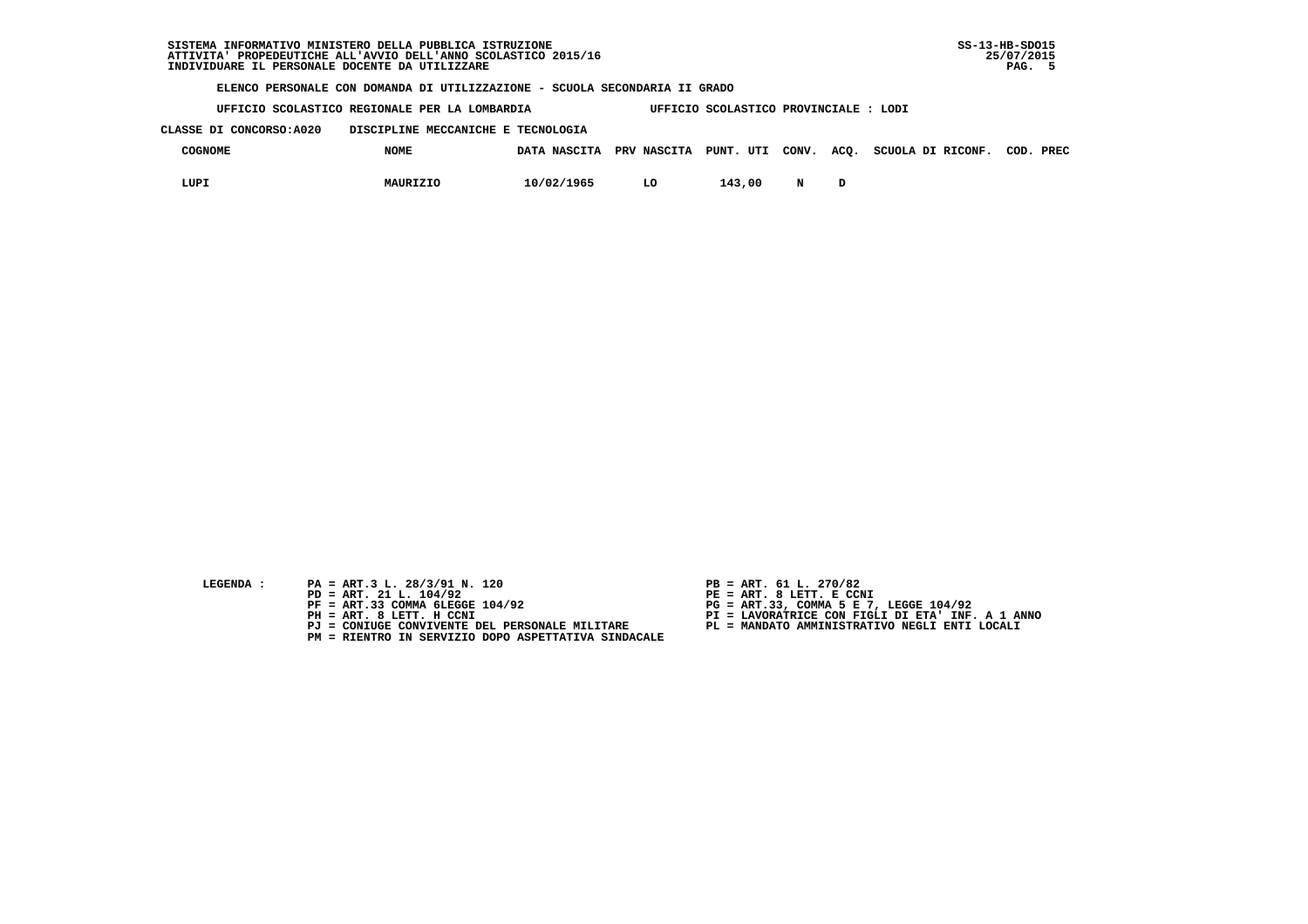**UFFICIO SCOLASTICO REGIONALE PER LA LOMBARDIA UFFICIO SCOLASTICO PROVINCIALE : LODI**

 **CLASSE DI CONCORSO:A020 DISCIPLINE MECCANICHE E TECNOLOGIA**

| COGNOME | <b>NOME</b> | DATA NASCITA | PRV NASCITA | PUNT. UTI CONV. | ACQ. | SCUOLA DI RICONF. | COD. | PREC |
|---------|-------------|--------------|-------------|-----------------|------|-------------------|------|------|
| LUPI    | MAURIZIO    | 10/02/1965   | LO          | 143,00          |      |                   |      |      |

- **LEGENDA :** PA = ART.3 L. 28/3/91 N. 120 <br>PD = ART. 21 L. 104/92 <br>PE = ART. 8 LETT. E CCN
- **PD = ART. 21 L. 104/92 PE = ART. 8 LETT. E CCNI**
	-
	-
	-
	- **PM = RIENTRO IN SERVIZIO DOPO ASPETTATIVA SINDACALE**
- 
- 
- 
- **PF = ART.33 COMMA 6LEGGE 104/92 PG = ART.33, COMMA 5 E 7, LEGGE 104/92 PH = ART. 8 LETT. H CCNI PI = LAVORATRICE CON FIGLI DI ETA' INF. A 1 ANNO**
	- **PJ = CONIUGE CONVIVENTE DEL PERSONALE MILITARE PL = MANDATO AMMINISTRATIVO NEGLI ENTI LOCALI**
		-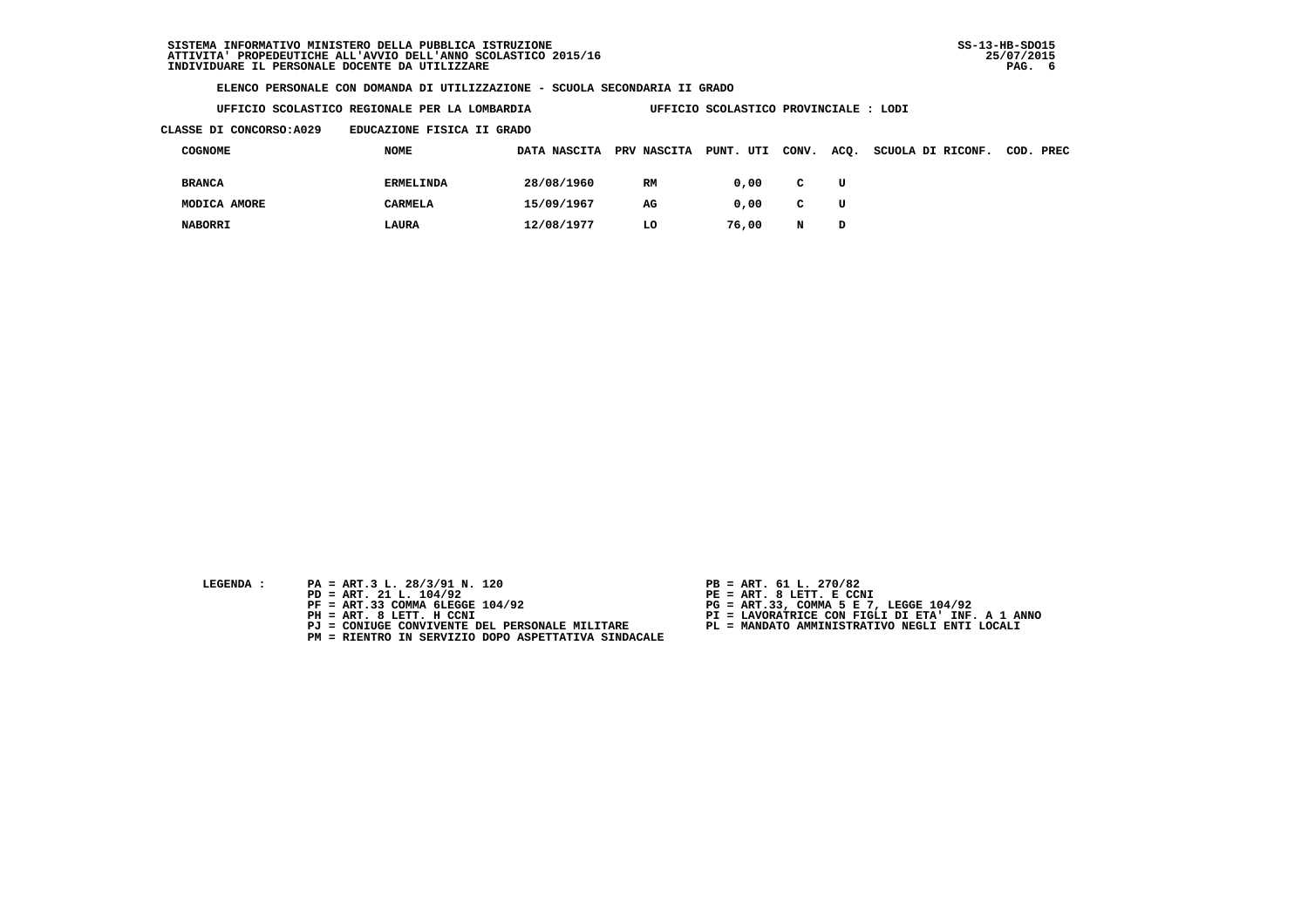**UFFICIO SCOLASTICO REGIONALE PER LA LOMBARDIA UFFICIO SCOLASTICO PROVINCIALE : LODI**

 **CLASSE DI CONCORSO:A029 EDUCAZIONE FISICA II GRADO**

| COGNOME        | NOME             | DATA NASCITA | <b>PRV NASCITA</b> | PUNT. UTI | CONV.        | ACQ. | SCUOLA DI RICONF. | COD. PREC |
|----------------|------------------|--------------|--------------------|-----------|--------------|------|-------------------|-----------|
| <b>BRANCA</b>  | <b>ERMELINDA</b> | 28/08/1960   | RM                 | 0.00      | $\mathbf{C}$ | U    |                   |           |
| MODICA AMORE   | <b>CARMELA</b>   | 15/09/1967   | AG                 | 0.00      | $\mathbf{C}$ | U    |                   |           |
| <b>NABORRI</b> | LAURA            | 12/08/1977   | LO                 | 76,00     | N            | D    |                   |           |

- **LEGENDA :** PA = ART.3 L. 28/3/91 N. 120 <br>PD = ART. 21 L. 104/92 <br>PE = ART. 8 LETT. E CCN
- **PD = ART. 21 L. 104/92 PE = ART. 8 LETT. E CCNI**
	-
	-
	-
	- **PM = RIENTRO IN SERVIZIO DOPO ASPETTATIVA SINDACALE**
- 
- 
- 
- **PF = ART.33 COMMA 6LEGGE 104/92 PG = ART.33, COMMA 5 E 7, LEGGE 104/92 PH = ART. 8 LETT. H CCNI PI = LAVORATRICE CON FIGLI DI ETA' INF. A 1 ANNO**
	- **PJ = CONIUGE CONVIVENTE DEL PERSONALE MILITARE PL = MANDATO AMMINISTRATIVO NEGLI ENTI LOCALI**
		-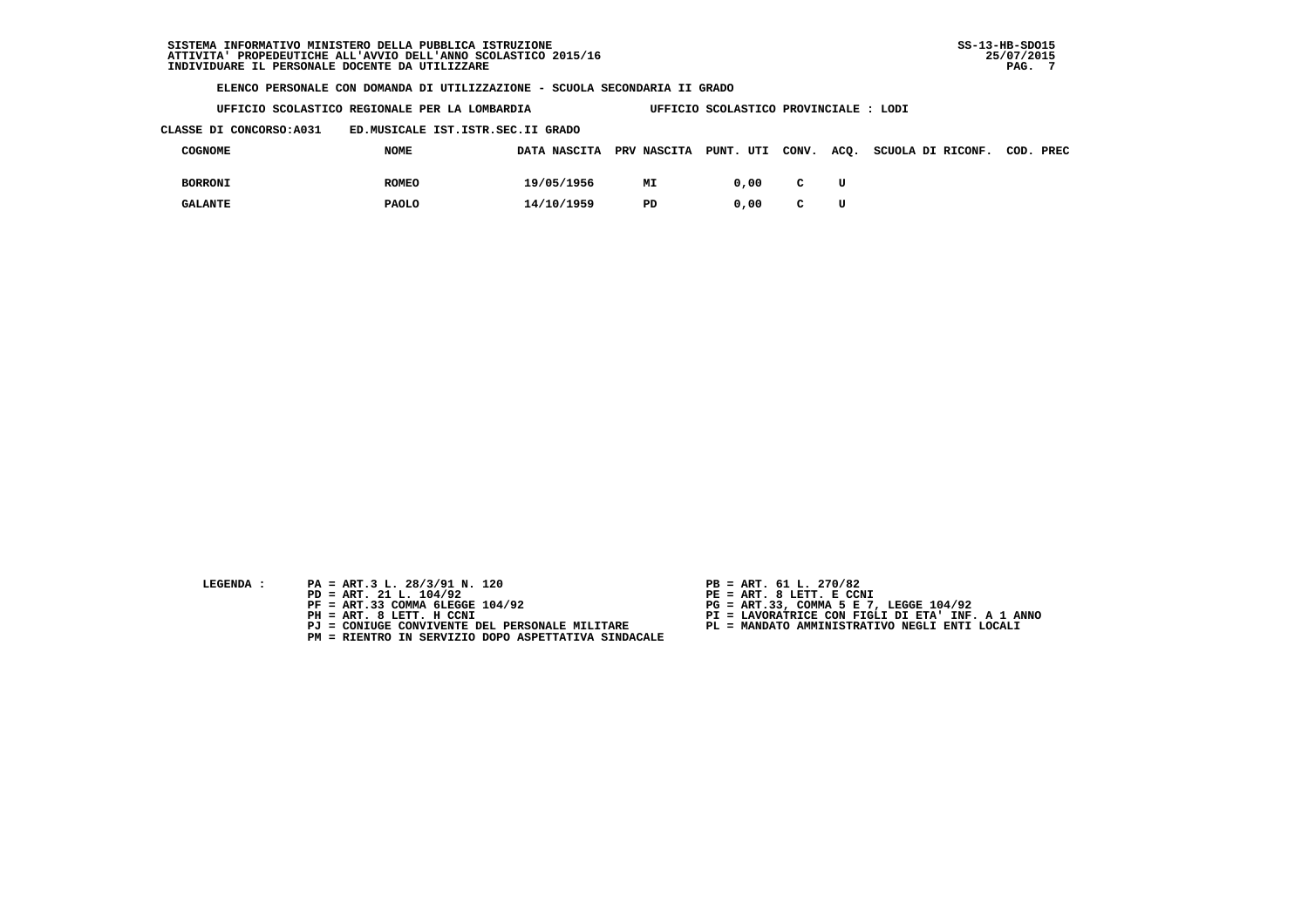**UFFICIO SCOLASTICO REGIONALE PER LA LOMBARDIA UFFICIO SCOLASTICO PROVINCIALE : LODI**

 **CLASSE DI CONCORSO:A031 ED.MUSICALE IST.ISTR.SEC.II GRADO**

| COGNOME        | <b>NOME</b>  |            |    |      |              |    | DATA NASCITA PRV NASCITA PUNT. UTI CONV. ACQ. SCUOLA DI RICONF. COD. PREC |  |
|----------------|--------------|------------|----|------|--------------|----|---------------------------------------------------------------------------|--|
| <b>BORRONI</b> | <b>ROMEO</b> | 19/05/1956 | МI | 0.00 | $\mathbf{C}$ | τT |                                                                           |  |
| <b>GALANTE</b> | <b>PAOLO</b> | 14/10/1959 | PD | 0.00 | C            | τT |                                                                           |  |

- 
- **LEGENDA :** PA = ART.3 L. 28/3/91 N. 120 <br>PD = ART. 21 L. 104/92 <br>PE = ART. 8 LETT. E CCN  **PD = ART. 21 L. 104/92 PE = ART. 8 LETT. E CCNI**
	-
	-
	-
	- **PM = RIENTRO IN SERVIZIO DOPO ASPETTATIVA SINDACALE**
- 
- 
- 
- **PF = ART.33 COMMA 6LEGGE 104/92 PG = ART.33, COMMA 5 E 7, LEGGE 104/92 PH = ART. 8 LETT. H CCNI PI = LAVORATRICE CON FIGLI DI ETA' INF. A 1 ANNO**
	- **PJ = CONIUGE CONVIVENTE DEL PERSONALE MILITARE PL = MANDATO AMMINISTRATIVO NEGLI ENTI LOCALI**
		-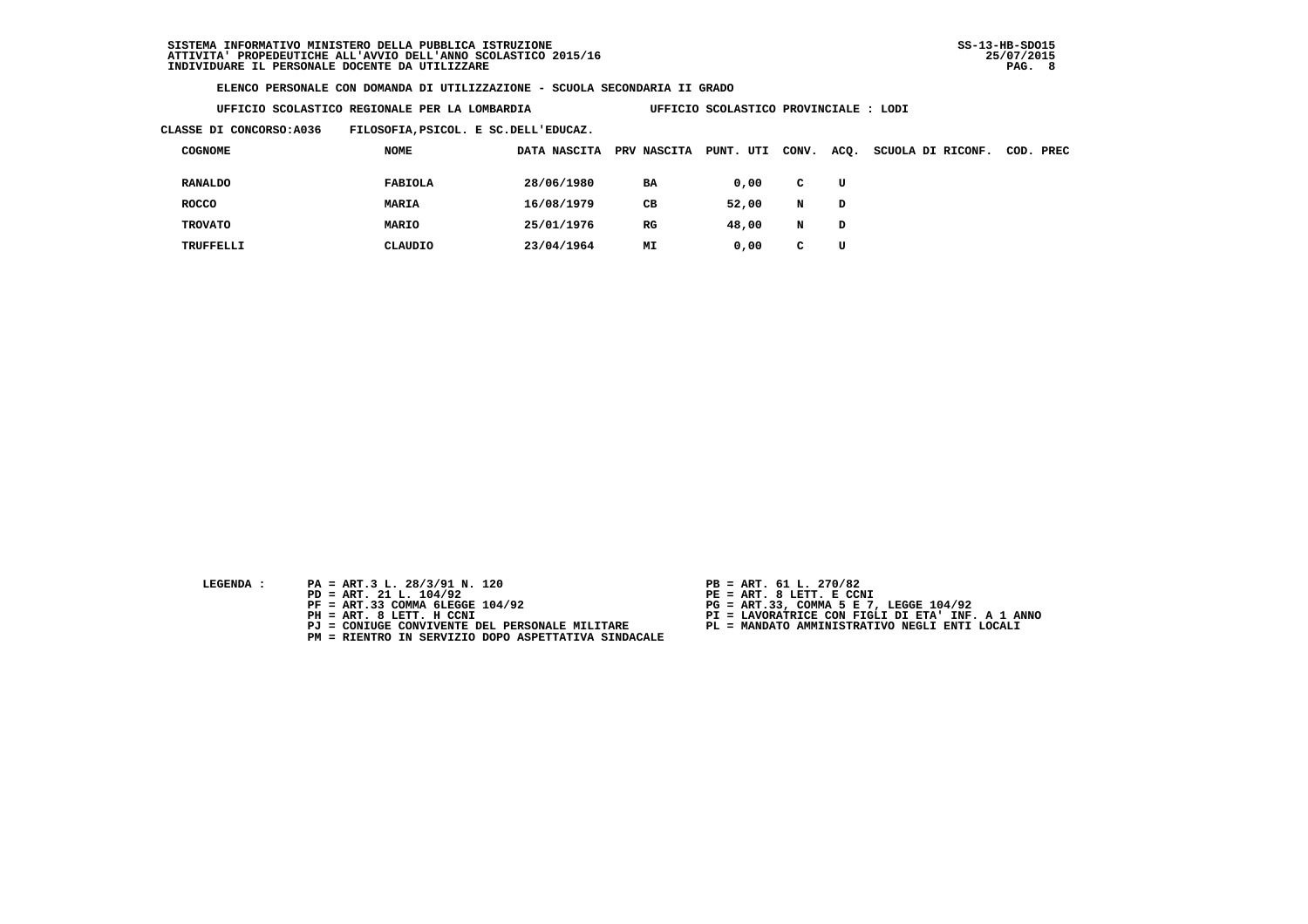**UFFICIO SCOLASTICO REGIONALE PER LA LOMBARDIA UFFICIO SCOLASTICO PROVINCIALE : LODI**

 **CLASSE DI CONCORSO:A036 FILOSOFIA,PSICOL. E SC.DELL'EDUCAZ.**

| <b>COGNOME</b> | NOME         | DATA NASCITA | PRV NASCITA | PUNT.<br>UTI | CONV. | ACQ. | SCUOLA DI RICONF. | COD. PREC |
|----------------|--------------|--------------|-------------|--------------|-------|------|-------------------|-----------|
| <b>RANALDO</b> | FABIOLA      | 28/06/1980   | BA          | 0,00         | C     | U    |                   |           |
| <b>ROCCO</b>   | <b>MARIA</b> | 16/08/1979   | CВ          | 52,00        | N     | D    |                   |           |
| <b>TROVATO</b> | <b>MARIO</b> | 25/01/1976   | $_{RG}$     | 48,00        | N     | D    |                   |           |
| TRUFFELLI      | CLAUDIO      | 23/04/1964   | MΙ          | 0,00         | c.    | U    |                   |           |

- **LEGENDA :** PA = ART.3 L. 28/3/91 N. 120 <br>PD = ART. 21 L. 104/92 <br>PE = ART. 8 LETT. E CCN
- **PD = ART. 21 L. 104/92 PE = ART. 8 LETT. E CCNI**
	-
	-
	-
	- **PM = RIENTRO IN SERVIZIO DOPO ASPETTATIVA SINDACALE**
- 
- 
- 
- **PF = ART.33 COMMA 6LEGGE 104/92 PG = ART.33, COMMA 5 E 7, LEGGE 104/92 PH = ART. 8 LETT. H CCNI PI = LAVORATRICE CON FIGLI DI ETA' INF. A 1 ANNO**
	- **PJ = CONIUGE CONVIVENTE DEL PERSONALE MILITARE PL = MANDATO AMMINISTRATIVO NEGLI ENTI LOCALI**
		-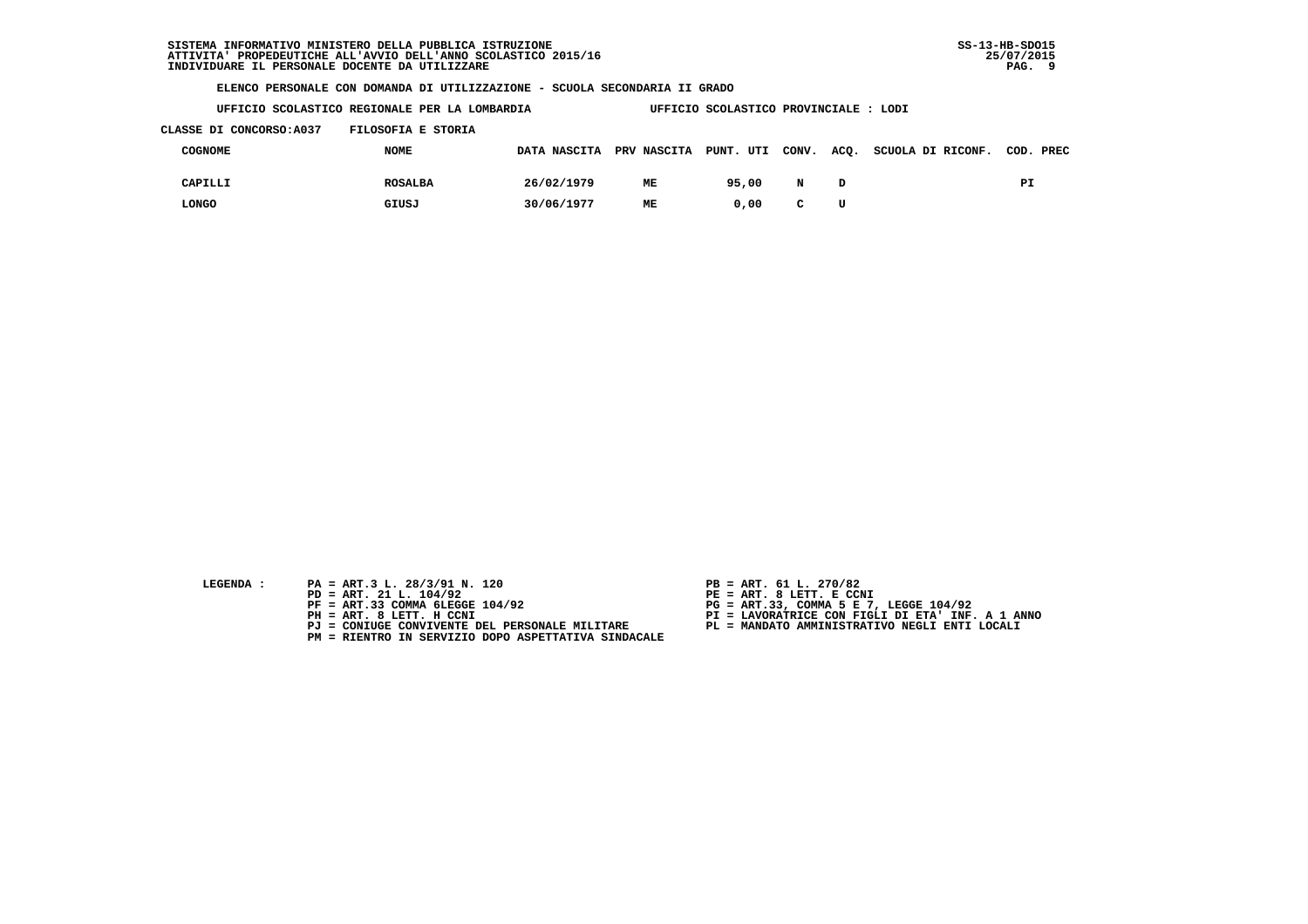**UFFICIO SCOLASTICO REGIONALE PER LA LOMBARDIA UFFICIO SCOLASTICO PROVINCIALE : LODI**

## **CLASSE DI CONCORSO:A037 FILOSOFIA E STORIA**

| COGNOME | <b>NOME</b>    |            |    |       |              |   | DATA NASCITA PRV NASCITA PUNT. UTI CONV. ACQ. SCUOLA DI RICONF. COD. PREC |    |
|---------|----------------|------------|----|-------|--------------|---|---------------------------------------------------------------------------|----|
| CAPILLI | <b>ROSALBA</b> | 26/02/1979 | ME | 95,00 | N            |   |                                                                           | PI |
| LONGO   | GIUSJ          | 30/06/1977 | ME | 0.00  | $\mathbf{C}$ | U |                                                                           |    |

- 
- **LEGENDA :** PA = ART.3 L. 28/3/91 N. 120 <br>PD = ART. 21 L. 104/92 <br>PE = ART. 8 LETT. E CCN  **PD = ART. 21 L. 104/92 PE = ART. 8 LETT. E CCNI**
	-
	-
	-
	- **PM = RIENTRO IN SERVIZIO DOPO ASPETTATIVA SINDACALE**
- 
- 
- 
- **PF = ART.33 COMMA 6LEGGE 104/92 PG = ART.33, COMMA 5 E 7, LEGGE 104/92 PH = ART. 8 LETT. H CCNI PI = LAVORATRICE CON FIGLI DI ETA' INF. A 1 ANNO**
	- **PJ = CONIUGE CONVIVENTE DEL PERSONALE MILITARE PL = MANDATO AMMINISTRATIVO NEGLI ENTI LOCALI**
		-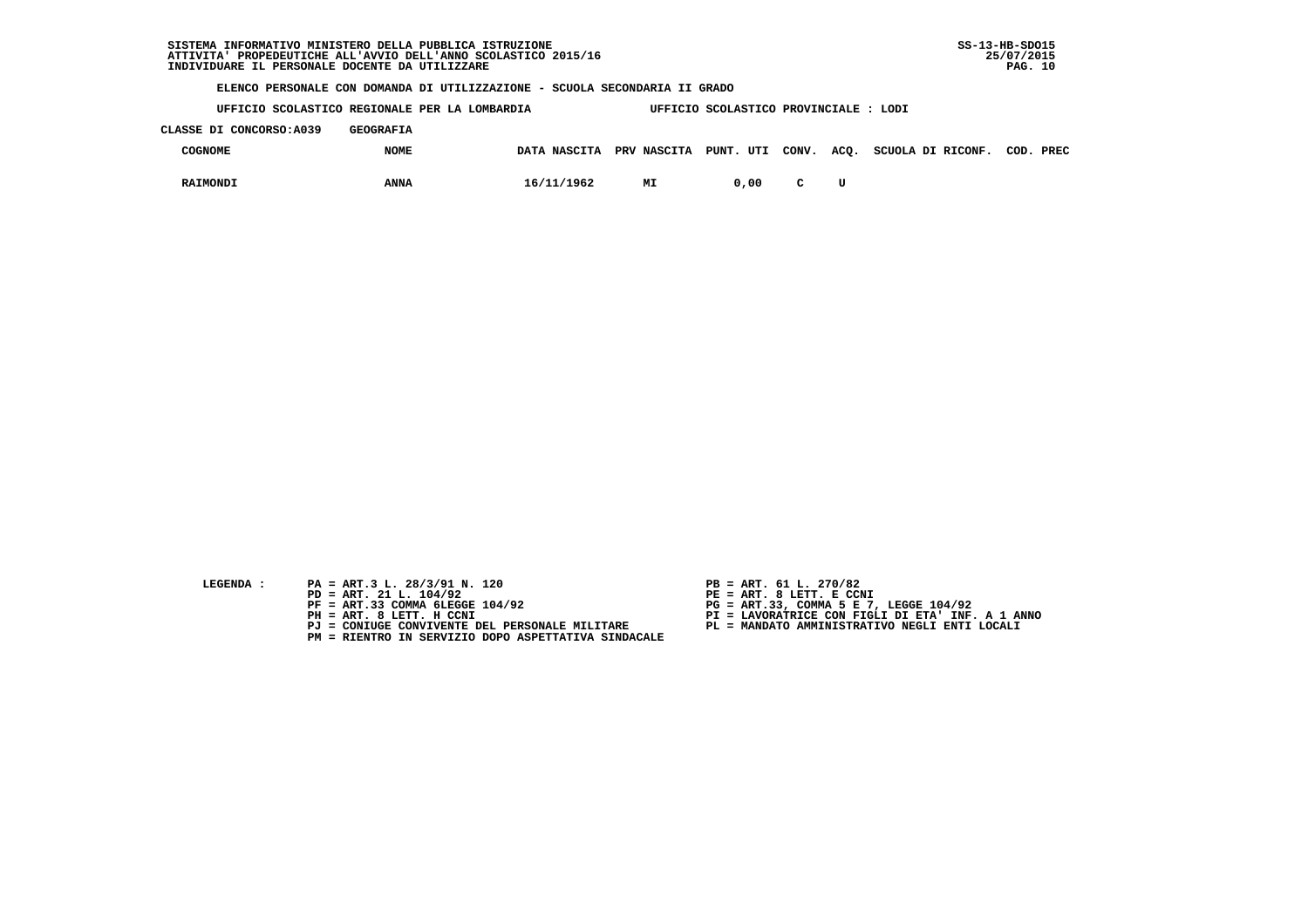**UFFICIO SCOLASTICO REGIONALE PER LA LOMBARDIA UFFICIO SCOLASTICO PROVINCIALE : LODI**

 **CLASSE DI CONCORSO:A039 GEOGRAFIA**

| COGNOME  | <b>NOME</b> | DATA NASCITA PRV NASCITA PUNT. UTI CONV. ACQ. |    |      |  | SCUOLA DI RICONF. | COD. | PREC |
|----------|-------------|-----------------------------------------------|----|------|--|-------------------|------|------|
| RAIMONDI | <b>ANNA</b> | 16/11/1962                                    | МI | 0,00 |  |                   |      |      |

- 
- **LEGENDA :** PA = ART.3 L. 28/3/91 N. 120 <br>PD = ART. 21 L. 104/92 <br>PE = ART. 8 LETT. E CCN  **PD = ART. 21 L. 104/92 PE = ART. 8 LETT. E CCNI**
	-
	-
	-
	- **PM = RIENTRO IN SERVIZIO DOPO ASPETTATIVA SINDACALE**
- 
- 
- 
- **PF = ART.33 COMMA 6LEGGE 104/92 PG = ART.33, COMMA 5 E 7, LEGGE 104/92 PH = ART. 8 LETT. H CCNI PI = LAVORATRICE CON FIGLI DI ETA' INF. A 1 ANNO**
	- **PJ = CONIUGE CONVIVENTE DEL PERSONALE MILITARE PL = MANDATO AMMINISTRATIVO NEGLI ENTI LOCALI**
		-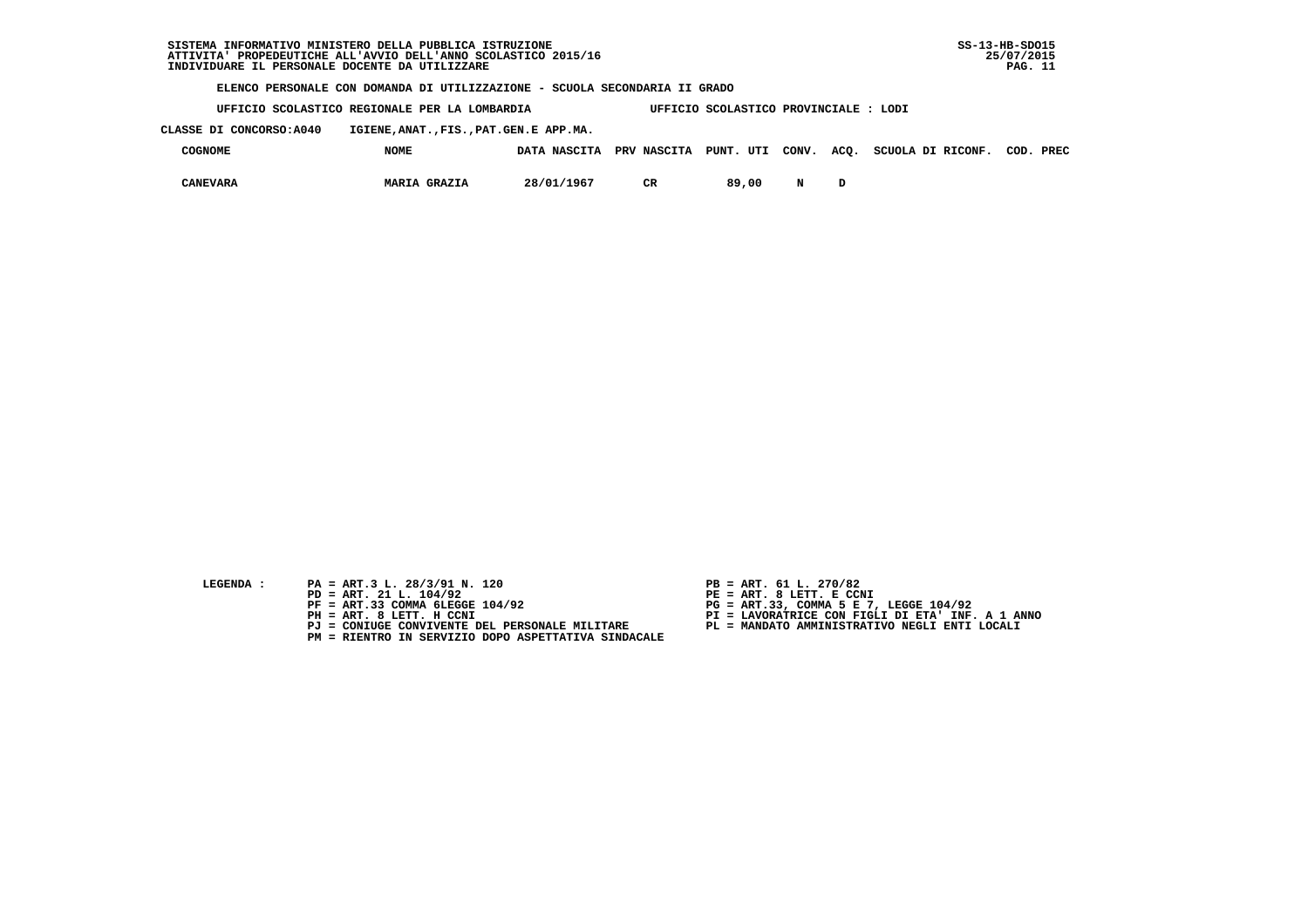**UFFICIO SCOLASTICO REGIONALE PER LA LOMBARDIA UFFICIO SCOLASTICO PROVINCIALE : LODI**

 **CLASSE DI CONCORSO:A040 IGIENE,ANAT.,FIS.,PAT.GEN.E APP.MA.**

| COGNOME  | <b>NOME</b>         | DATA NASCITA | PRV NASCITA PUNT. UTI |       | CONV. | ACQ. | SCUOLA DI RICONF. | COD. | PREC |
|----------|---------------------|--------------|-----------------------|-------|-------|------|-------------------|------|------|
| CANEVARA | <b>MARIA GRAZIA</b> | 28/01/1967   | σъ                    | 89,00 | N     |      |                   |      |      |

- **LEGENDA :** PA = ART.3 L. 28/3/91 N. 120 <br>PD = ART. 21 L. 104/92 <br>PE = ART. 8 LETT. E CCN
- **PD = ART. 21 L. 104/92 PE = ART. 8 LETT. E CCNI**
	-
	-
	-
	- **PM = RIENTRO IN SERVIZIO DOPO ASPETTATIVA SINDACALE**
- 
- 
- 
- **PF = ART.33 COMMA 6LEGGE 104/92 PG = ART.33, COMMA 5 E 7, LEGGE 104/92 PH = ART. 8 LETT. H CCNI PI = LAVORATRICE CON FIGLI DI ETA' INF. A 1 ANNO**
	- **PJ = CONIUGE CONVIVENTE DEL PERSONALE MILITARE PL = MANDATO AMMINISTRATIVO NEGLI ENTI LOCALI**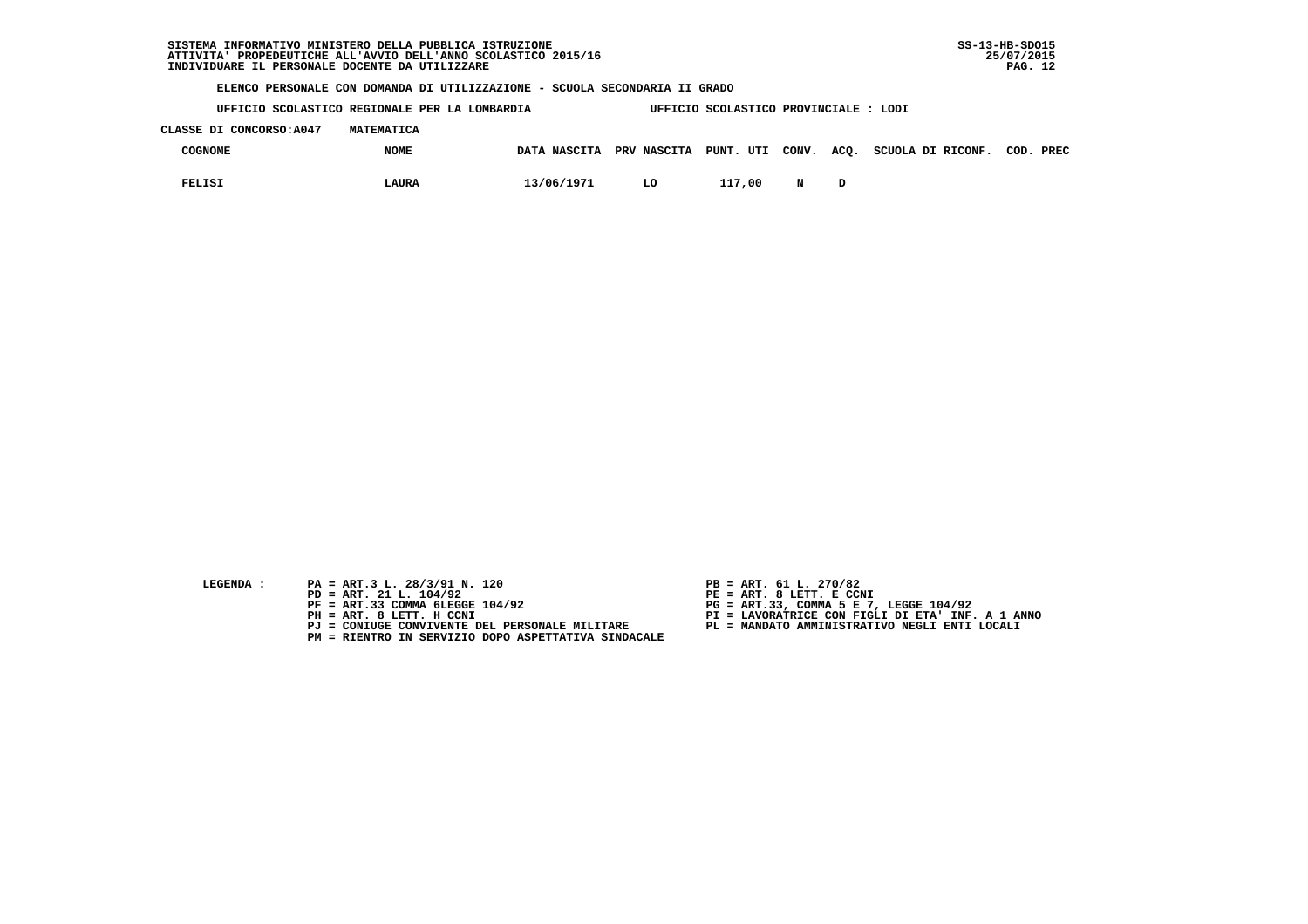**UFFICIO SCOLASTICO REGIONALE PER LA LOMBARDIA UFFICIO SCOLASTICO PROVINCIALE : LODI**

 **CLASSE DI CONCORSO:A047 MATEMATICA**

| COGNOME       | <b>NOME</b> |            |    |        |   | DATA NASCITA PRV NASCITA PUNT. UTI CONV. ACQ. SCUOLA DI RICONF. COD. PREC |  |
|---------------|-------------|------------|----|--------|---|---------------------------------------------------------------------------|--|
| <b>FELISI</b> | LAURA       | 13/06/1971 | LO | 117,00 | N |                                                                           |  |

- **LEGENDA :** PA = ART.3 L. 28/3/91 N. 120 <br>PD = ART. 21 L. 104/92 <br>PE = ART. 8 LETT. E CCN
- **PD = ART. 21 L. 104/92 PE = ART. 8 LETT. E CCNI**
	-
	-
	-
	- **PM = RIENTRO IN SERVIZIO DOPO ASPETTATIVA SINDACALE**
- 
- 
- 
- **PF = ART.33 COMMA 6LEGGE 104/92 PG = ART.33, COMMA 5 E 7, LEGGE 104/92 PH = ART. 8 LETT. H CCNI PI = LAVORATRICE CON FIGLI DI ETA' INF. A 1 ANNO**
	- **PJ = CONIUGE CONVIVENTE DEL PERSONALE MILITARE PL = MANDATO AMMINISTRATIVO NEGLI ENTI LOCALI**
		-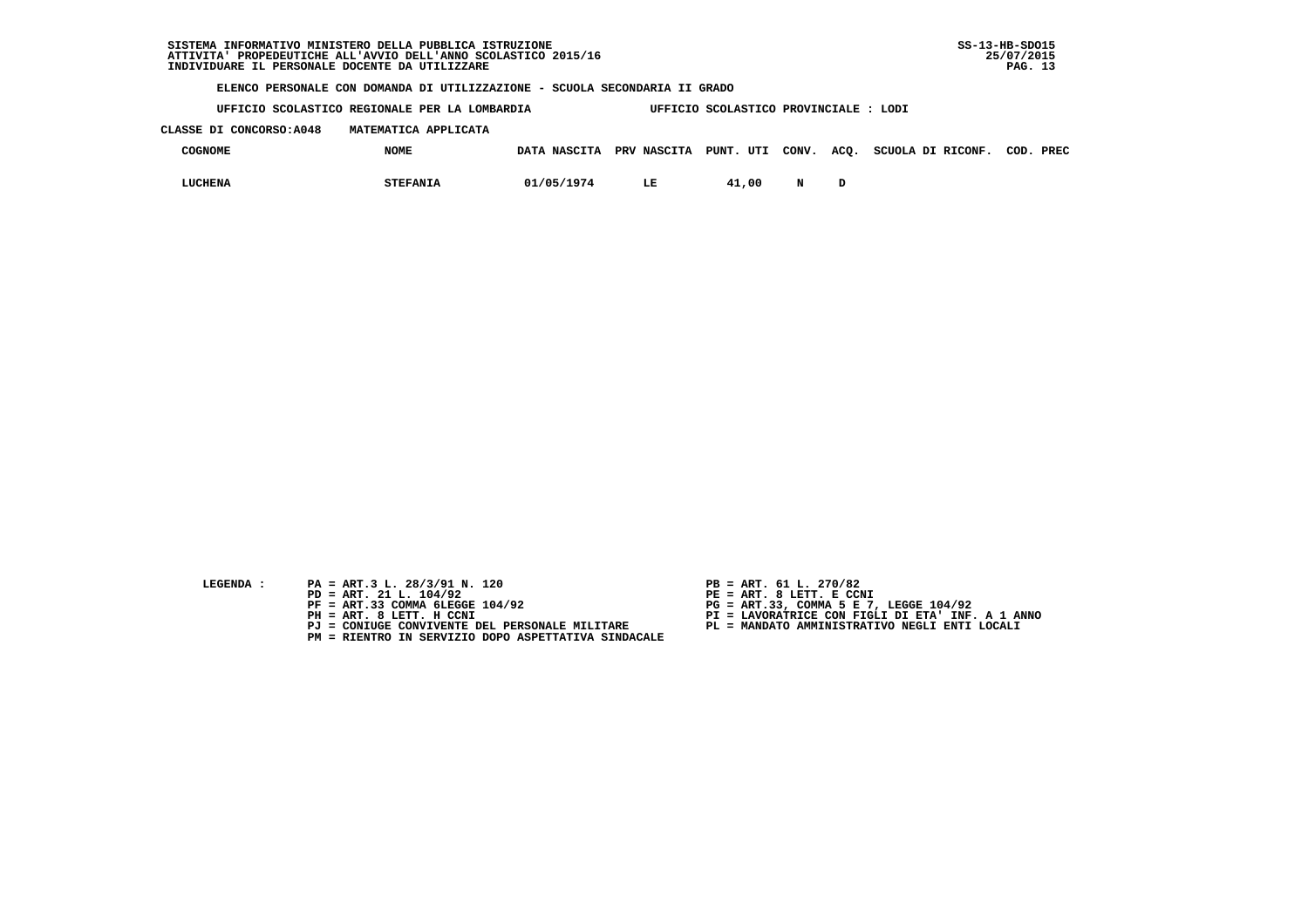**UFFICIO SCOLASTICO REGIONALE PER LA LOMBARDIA UFFICIO SCOLASTICO PROVINCIALE : LODI**

## **CLASSE DI CONCORSO:A048 MATEMATICA APPLICATA**

| <b>COGNOME</b> | <b>NOME</b>     | DATA NASCITA | PRV NASCITA | PUNT. UTI |  | CONV. ACQ. SCUOLA DI RICONF. | COD. | PREC |
|----------------|-----------------|--------------|-------------|-----------|--|------------------------------|------|------|
| LUCHENA        | <b>STEFANIA</b> | 01/05/1974   |             | 41,00     |  |                              |      |      |

- **LEGENDA :** PA = ART.3 L. 28/3/91 N. 120 <br>PD = ART. 21 L. 104/92 <br>PE = ART. 8 LETT. E CCN
- **PD = ART. 21 L. 104/92 PE = ART. 8 LETT. E CCNI**
	-
	-
	-
	- **PM = RIENTRO IN SERVIZIO DOPO ASPETTATIVA SINDACALE**
- 
- 
- 
- **PF = ART.33 COMMA 6LEGGE 104/92 PG = ART.33, COMMA 5 E 7, LEGGE 104/92 PH = ART. 8 LETT. H CCNI PI = LAVORATRICE CON FIGLI DI ETA' INF. A 1 ANNO**
	- **PJ = CONIUGE CONVIVENTE DEL PERSONALE MILITARE PL = MANDATO AMMINISTRATIVO NEGLI ENTI LOCALI**
		-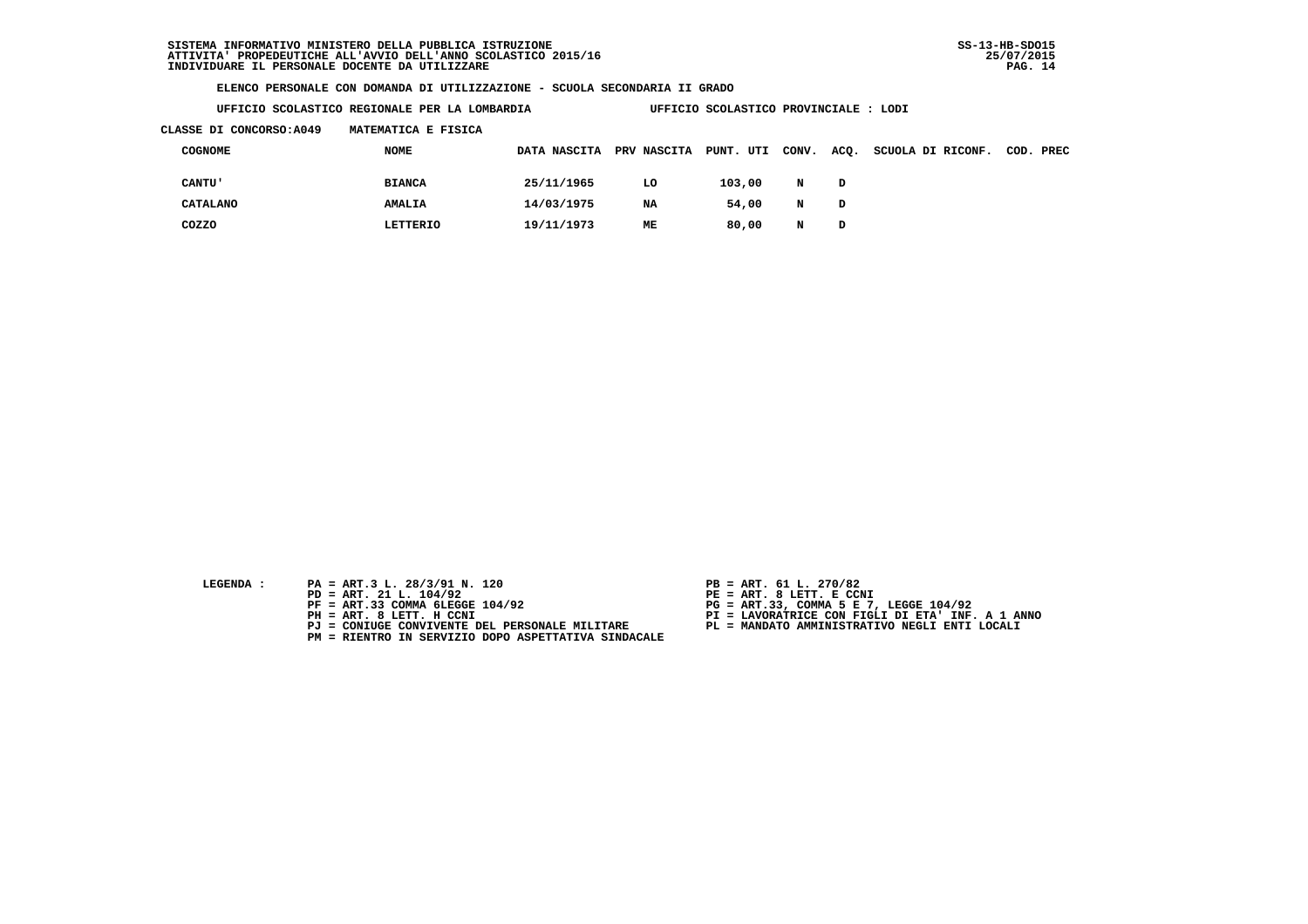**UFFICIO SCOLASTICO REGIONALE PER LA LOMBARDIA UFFICIO SCOLASTICO PROVINCIALE : LODI**

#### **CLASSE DI CONCORSO:A049 MATEMATICA E FISICA**

| COGNOME         | NOME          | DATA NASCITA | <b>PRV NASCITA</b> | PUNT. UTI | CONV. | ACQ. | SCUOLA DI RICONF. | COD. PREC |
|-----------------|---------------|--------------|--------------------|-----------|-------|------|-------------------|-----------|
| <b>CANTU'</b>   | <b>BIANCA</b> | 25/11/1965   | LO                 | 103,00    | N     | D    |                   |           |
| <b>CATALANO</b> | AMALIA        | 14/03/1975   | NA                 | 54,00     | N     | D    |                   |           |
| COZZO           | LETTERIO      | 19/11/1973   | MЕ                 | 80,00     | N     | D    |                   |           |

- **LEGENDA :** PA = ART.3 L. 28/3/91 N. 120 <br>PD = ART. 21 L. 104/92 <br>PE = ART. 8 LETT. E CCN
- **PD = ART. 21 L. 104/92 PE = ART. 8 LETT. E CCNI**
	-
	-
	-
	- **PM = RIENTRO IN SERVIZIO DOPO ASPETTATIVA SINDACALE**
- 
- 
- 
- **PF = ART.33 COMMA 6LEGGE 104/92 PG = ART.33, COMMA 5 E 7, LEGGE 104/92 PH = ART. 8 LETT. H CCNI PI = LAVORATRICE CON FIGLI DI ETA' INF. A 1 ANNO**
	- **PJ = CONIUGE CONVIVENTE DEL PERSONALE MILITARE PL = MANDATO AMMINISTRATIVO NEGLI ENTI LOCALI**
		-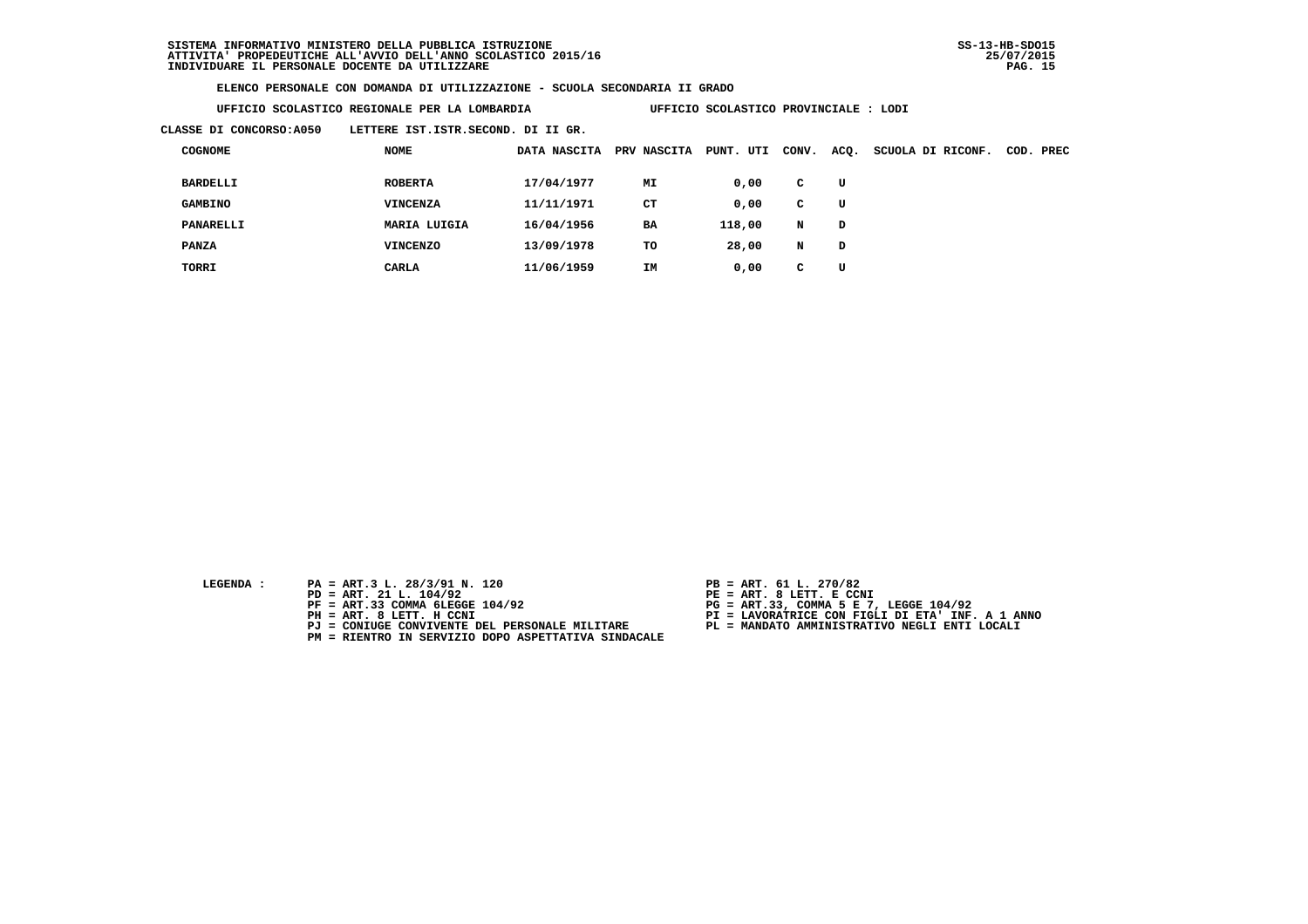**UFFICIO SCOLASTICO REGIONALE PER LA LOMBARDIA UFFICIO SCOLASTICO PROVINCIALE : LODI**

 **CLASSE DI CONCORSO:A050 LETTERE IST.ISTR.SECOND. DI II GR.**

| <b>COGNOME</b>   | <b>NOME</b>     | DATA NASCITA | PRV NASCITA | UTI<br>PUNT. | CONV. | ACQ. | SCUOLA DI RICONF. | COD. | PREC |
|------------------|-----------------|--------------|-------------|--------------|-------|------|-------------------|------|------|
| <b>BARDELLI</b>  | <b>ROBERTA</b>  | 17/04/1977   | MI          | 0,00         | c     | U    |                   |      |      |
| <b>GAMBINO</b>   | <b>VINCENZA</b> | 11/11/1971   | <b>CT</b>   | 0,00         | c     | U    |                   |      |      |
| <b>PANARELLI</b> | MARIA LUIGIA    | 16/04/1956   | <b>BA</b>   | 118,00       | N     | D    |                   |      |      |
| <b>PANZA</b>     | VINCENZO        | 13/09/1978   | TO          | 28,00        | N     | D    |                   |      |      |
| TORRI            | CARLA           | 11/06/1959   | IM          | 0,00         | C     | U    |                   |      |      |

- **LEGENDA :** PA = ART.3 L. 28/3/91 N. 120 <br>PD = ART. 21 L. 104/92 <br>PE = ART. 8 LETT. E CCN
- **PD = ART. 21 L. 104/92 PE = ART. 8 LETT. E CCNI**
	-
	-
	-
	- **PM = RIENTRO IN SERVIZIO DOPO ASPETTATIVA SINDACALE**
- 
- 
- 
- **PF = ART.33 COMMA 6LEGGE 104/92 PG = ART.33, COMMA 5 E 7, LEGGE 104/92 PH = ART. 8 LETT. H CCNI PI = LAVORATRICE CON FIGLI DI ETA' INF. A 1 ANNO**
	- **PJ = CONIUGE CONVIVENTE DEL PERSONALE MILITARE PL = MANDATO AMMINISTRATIVO NEGLI ENTI LOCALI**
		-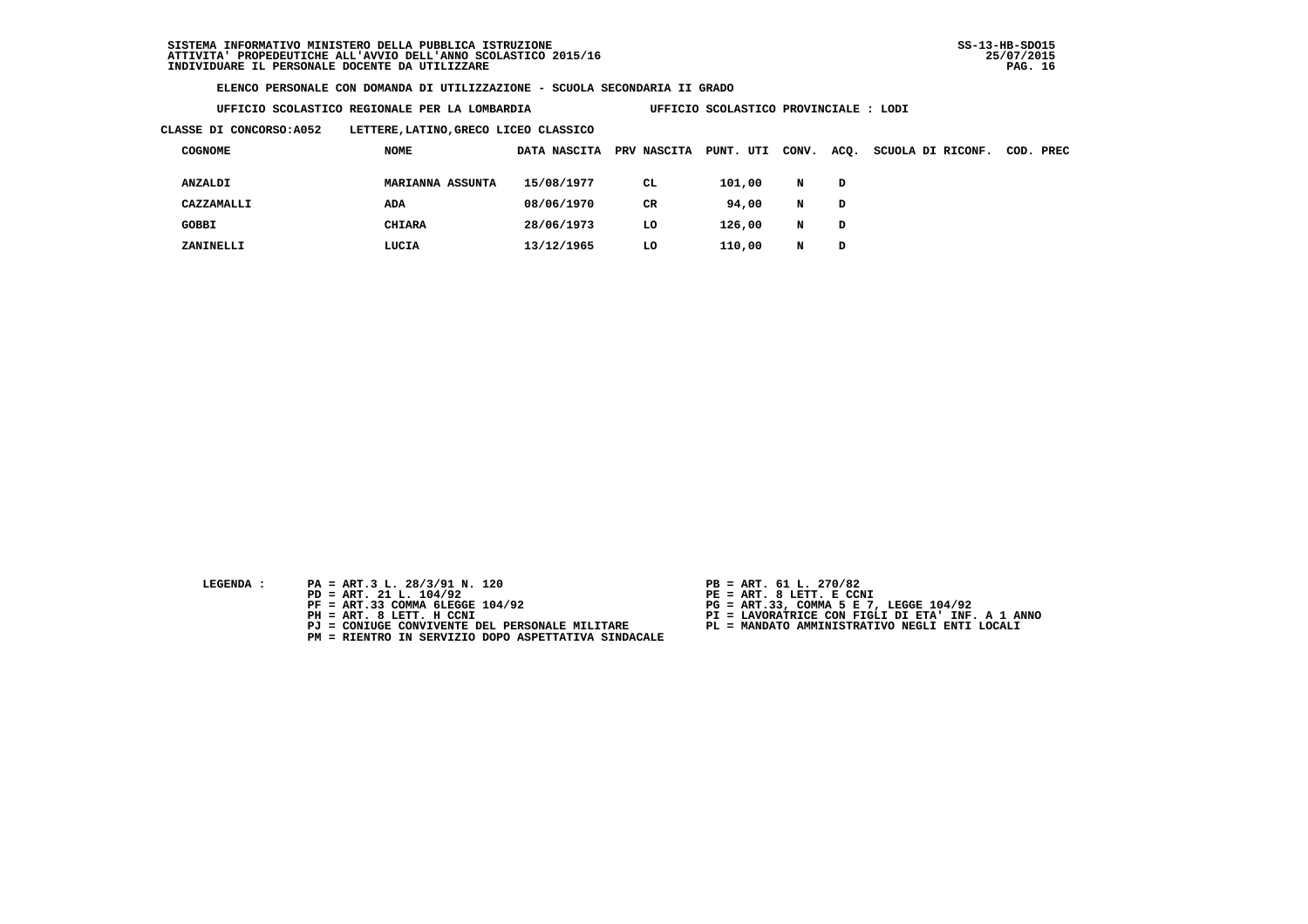**UFFICIO SCOLASTICO REGIONALE PER LA LOMBARDIA UFFICIO SCOLASTICO PROVINCIALE : LODI**

 **CLASSE DI CONCORSO:A052 LETTERE,LATINO,GRECO LICEO CLASSICO**

| <b>COGNOME</b> | <b>NOME</b>             | DATA NASCITA | <b>PRV NASCITA</b> | PUNT. UTI | CONV. | ACQ. | SCUOLA DI RICONF. | COD. PREC |
|----------------|-------------------------|--------------|--------------------|-----------|-------|------|-------------------|-----------|
| ANZALDI        | <b>MARIANNA ASSUNTA</b> | 15/08/1977   | CL.                | 101,00    | N     | D    |                   |           |
| CAZZAMALLI     | ADA                     | 08/06/1970   | CR                 | 94,00     | N     | D    |                   |           |
| <b>GOBBI</b>   | CHIARA                  | 28/06/1973   | LO                 | 126,00    | N     | D    |                   |           |
| ZANINELLI      | LUCIA                   | 13/12/1965   | LO                 | 110,00    | N     | D    |                   |           |

- **LEGENDA :** PA = ART.3 L. 28/3/91 N. 120 <br>PD = ART. 21 L. 104/92 <br>PE = ART. 8 LETT. E CCN
- **PD = ART. 21 L. 104/92 PE = ART. 8 LETT. E CCNI**
	-
	-
	-
	- **PM = RIENTRO IN SERVIZIO DOPO ASPETTATIVA SINDACALE**
- 
- 
- 
- **PF = ART.33 COMMA 6LEGGE 104/92 PG = ART.33, COMMA 5 E 7, LEGGE 104/92 PH = ART. 8 LETT. H CCNI PI = LAVORATRICE CON FIGLI DI ETA' INF. A 1 ANNO**
	- **PJ = CONIUGE CONVIVENTE DEL PERSONALE MILITARE PL = MANDATO AMMINISTRATIVO NEGLI ENTI LOCALI**
		-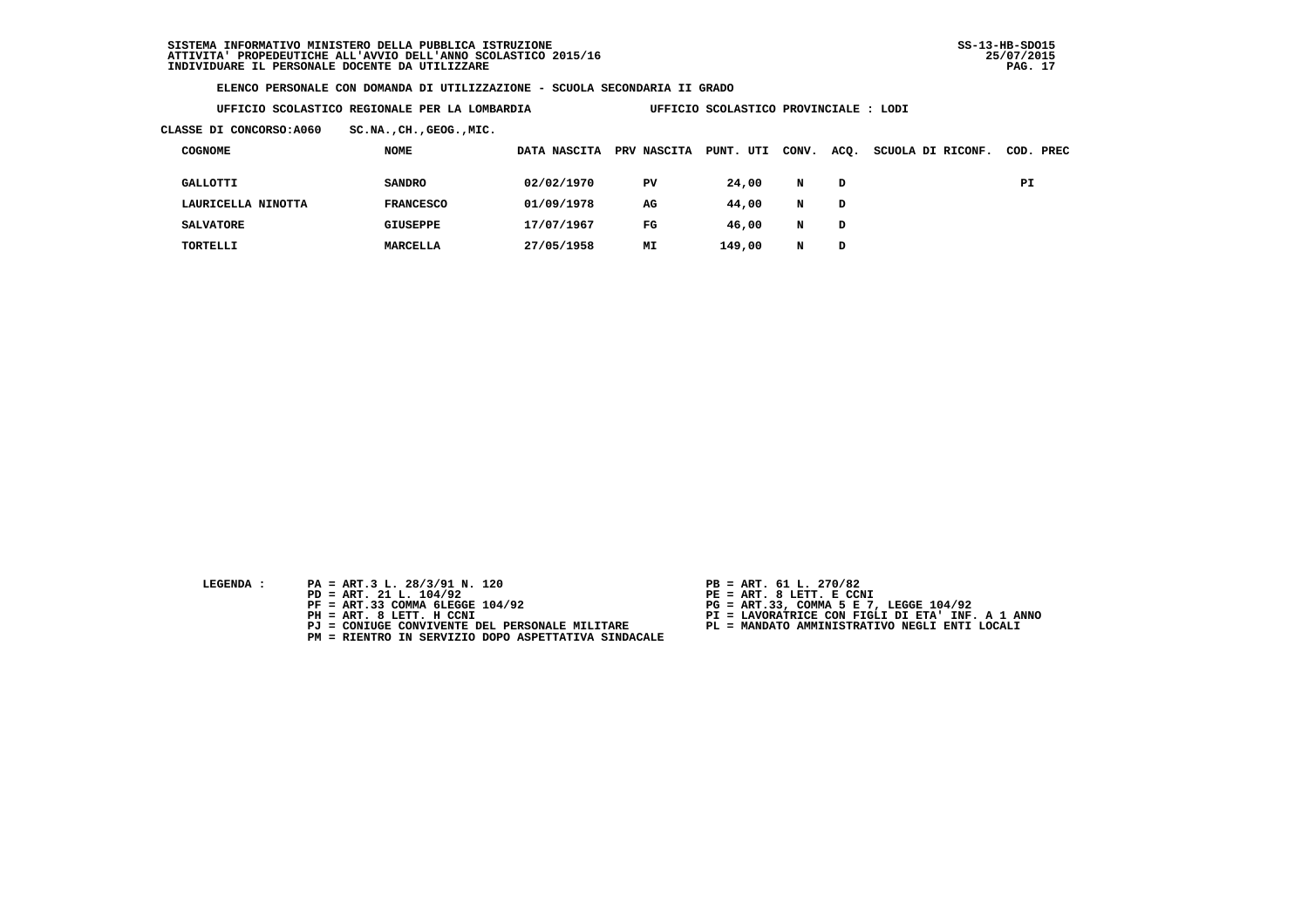**UFFICIO SCOLASTICO REGIONALE PER LA LOMBARDIA UFFICIO SCOLASTICO PROVINCIALE : LODI**

 **CLASSE DI CONCORSO:A060 SC.NA.,CH.,GEOG.,MIC.**

| <b>COGNOME</b>     | NOME             | DATA NASCITA | PRV NASCITA | PUNT.<br>UTI | CONV. | ACQ. | SCUOLA DI RICONF. |    | COD. PREC |
|--------------------|------------------|--------------|-------------|--------------|-------|------|-------------------|----|-----------|
| GALLOTTI           | <b>SANDRO</b>    | 02/02/1970   | PV          | 24,00        | N     | D    |                   | PI |           |
| LAURICELLA NINOTTA | <b>FRANCESCO</b> | 01/09/1978   | AG          | 44,00        | N     | D    |                   |    |           |
| <b>SALVATORE</b>   | GIUSEPPE         | 17/07/1967   | $_{\rm FG}$ | 46,00        | N     | D    |                   |    |           |
| TORTELLI           | MARCELLA         | 27/05/1958   | MΙ          | 149,00       | N     | D    |                   |    |           |

- **LEGENDA :** PA = ART.3 L. 28/3/91 N. 120 <br>PD = ART. 21 L. 104/92 <br>PE = ART. 8 LETT. E CCN
- **PD = ART. 21 L. 104/92 PE = ART. 8 LETT. E CCNI**
	-
	-
	-
	- **PM = RIENTRO IN SERVIZIO DOPO ASPETTATIVA SINDACALE**
- 
- 
- 
- **PF = ART.33 COMMA 6LEGGE 104/92 PG = ART.33, COMMA 5 E 7, LEGGE 104/92 PH = ART. 8 LETT. H CCNI PI = LAVORATRICE CON FIGLI DI ETA' INF. A 1 ANNO**
	- **PJ = CONIUGE CONVIVENTE DEL PERSONALE MILITARE PL = MANDATO AMMINISTRATIVO NEGLI ENTI LOCALI**
		-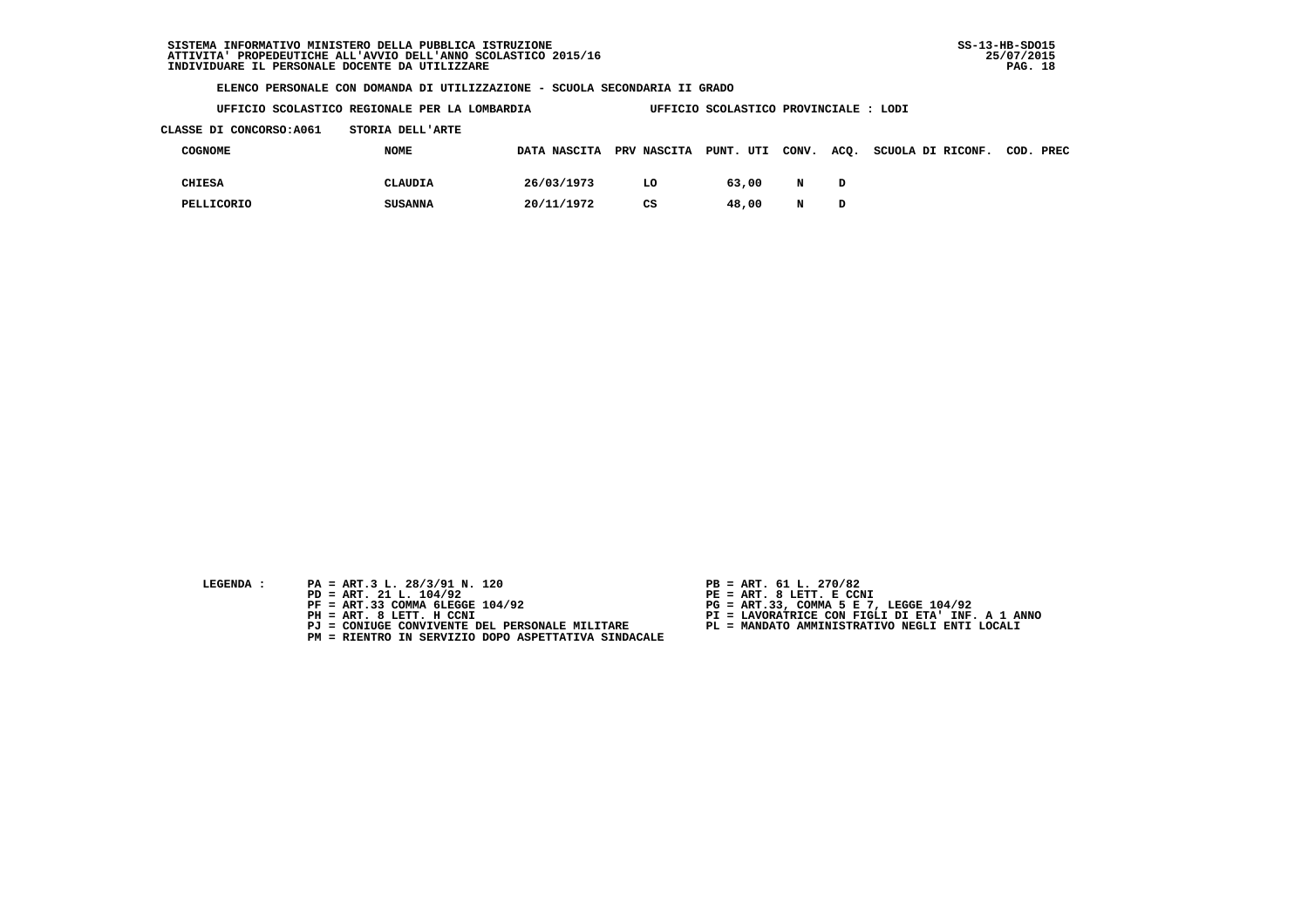**UFFICIO SCOLASTICO REGIONALE PER LA LOMBARDIA UFFICIO SCOLASTICO PROVINCIALE : LODI**

### **CLASSE DI CONCORSO:A061 STORIA DELL'ARTE**

| COGNOME    | <b>NOME</b>    | DATA NASCITA PRV NASCITA PUNT. UTI CONV. |    |       |   | ACO. | SCUOLA DI RICONF. COD. PREC |  |
|------------|----------------|------------------------------------------|----|-------|---|------|-----------------------------|--|
| CHIESA     | CLAUDIA        | 26/03/1973                               | LO | 63,00 | N | D    |                             |  |
| PELLICORIO | <b>SUSANNA</b> | 20/11/1972                               | CS | 48,00 | N | D    |                             |  |

- **LEGENDA :** PA = ART.3 L. 28/3/91 N. 120 <br>PD = ART. 21 L. 104/92 <br>PE = ART. 8 LETT. E CCN
- **PD = ART. 21 L. 104/92 PE = ART. 8 LETT. E CCNI**
	-
	-
	-
	- **PM = RIENTRO IN SERVIZIO DOPO ASPETTATIVA SINDACALE**
- 
- 
- 
- **PF = ART.33 COMMA 6LEGGE 104/92 PG = ART.33, COMMA 5 E 7, LEGGE 104/92 PH = ART. 8 LETT. H CCNI PI = LAVORATRICE CON FIGLI DI ETA' INF. A 1 ANNO**
	- **PJ = CONIUGE CONVIVENTE DEL PERSONALE MILITARE PL = MANDATO AMMINISTRATIVO NEGLI ENTI LOCALI**
		-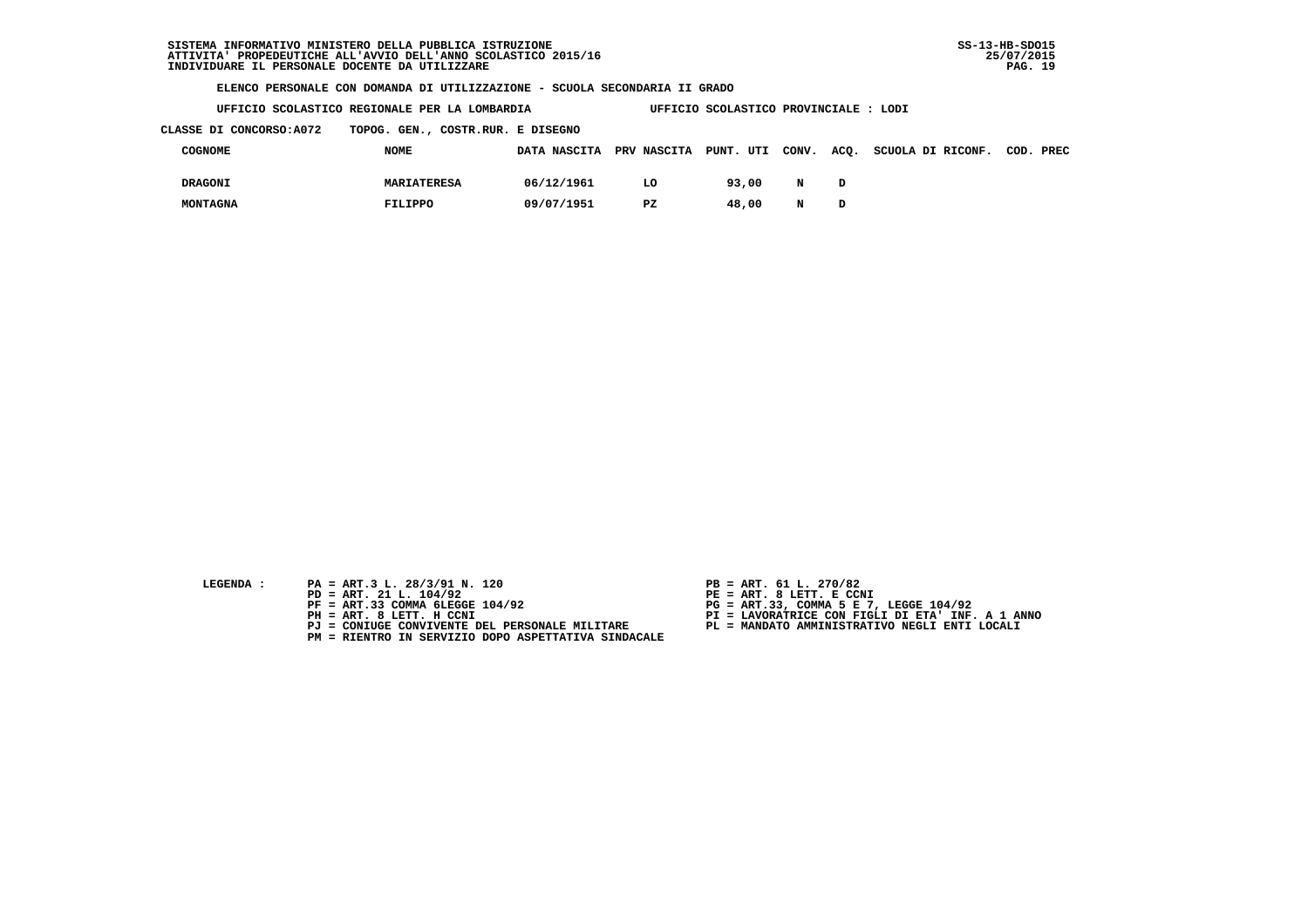|  |  |  | UFFICIO SCOLASTICO REGIONALE PER LA LOMBARDIA |  |  |  |  | UFFICIO SCOLASTICO PROVINCIALE : LODI |  |  |
|--|--|--|-----------------------------------------------|--|--|--|--|---------------------------------------|--|--|
|--|--|--|-----------------------------------------------|--|--|--|--|---------------------------------------|--|--|

 **CLASSE DI CONCORSO:A072 TOPOG. GEN., COSTR.RUR. E DISEGNO**

| COGNOME        | <b>NOME</b>        | DATA NASCITA PRV NASCITA PUNT. UTI CONV. |    |       |   | ACQ. SCUOLA DI RICONF. | COD. PREC |
|----------------|--------------------|------------------------------------------|----|-------|---|------------------------|-----------|
| <b>DRAGONI</b> | <b>MARIATERESA</b> | 06/12/1961                               | LO | 93,00 | N |                        |           |
| MONTAGNA       | FILIPPO            | 09/07/1951                               | PZ | 48,00 | N |                        |           |

- 
- **LEGENDA :** PA = ART.3 L. 28/3/91 N. 120 <br>PD = ART. 21 L. 104/92 <br>PE = ART. 8 LETT. E CCN  **PD = ART. 21 L. 104/92 PE = ART. 8 LETT. E CCNI**
	-
	-
	-
	- **PM = RIENTRO IN SERVIZIO DOPO ASPETTATIVA SINDACALE**
- 
- 
- 
- **PF = ART.33 COMMA 6LEGGE 104/92 PG = ART.33, COMMA 5 E 7, LEGGE 104/92 PH = ART. 8 LETT. H CCNI PI = LAVORATRICE CON FIGLI DI ETA' INF. A 1 ANNO**
	- **PJ = CONIUGE CONVIVENTE DEL PERSONALE MILITARE PL = MANDATO AMMINISTRATIVO NEGLI ENTI LOCALI**
		-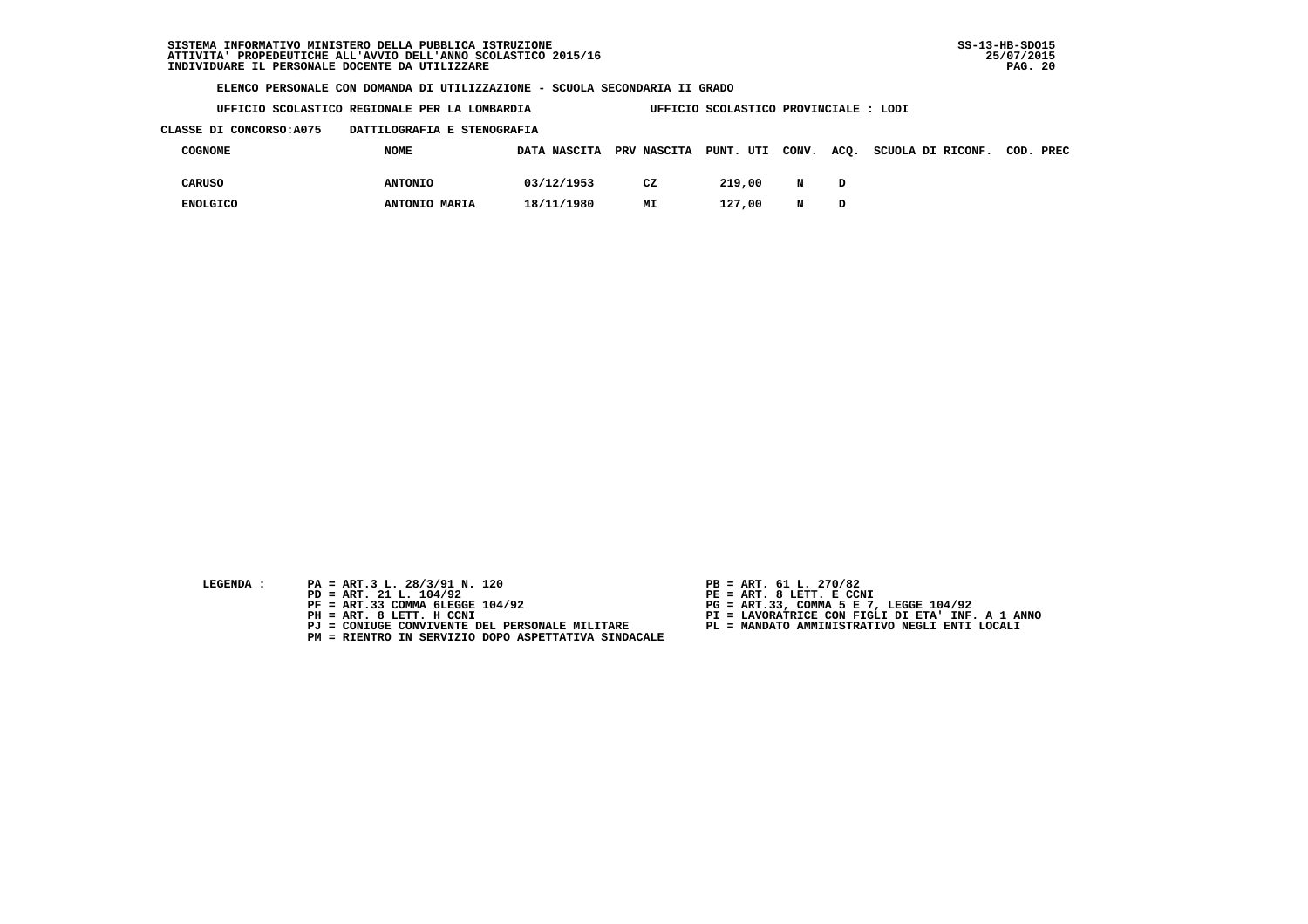**UFFICIO SCOLASTICO REGIONALE PER LA LOMBARDIA UFFICIO SCOLASTICO PROVINCIALE : LODI**

#### **CLASSE DI CONCORSO:A075 DATTILOGRAFIA E STENOGRAFIA**

| COGNOME         | <b>NOME</b>    | DATA NASCITA PRV NASCITA PUNT. UTI CONV. |    |        |   | ACO. | SCUOLA DI RICONF. | COD. PREC |  |
|-----------------|----------------|------------------------------------------|----|--------|---|------|-------------------|-----------|--|
| CARUSO          | <b>ANTONIO</b> | 03/12/1953                               | CZ | 219,00 | N | D    |                   |           |  |
| <b>ENOLGICO</b> | ANTONIO MARIA  | 18/11/1980                               | MΙ | 127,00 | N | D    |                   |           |  |

- 
- **LEGENDA :** PA = ART.3 L. 28/3/91 N. 120 <br>PD = ART. 21 L. 104/92 <br>PE = ART. 8 LETT. E CCN  **PD = ART. 21 L. 104/92 PE = ART. 8 LETT. E CCNI**
	-
	-
	-
	- **PM = RIENTRO IN SERVIZIO DOPO ASPETTATIVA SINDACALE**
- 
- 
- 
- **PF = ART.33 COMMA 6LEGGE 104/92 PG = ART.33, COMMA 5 E 7, LEGGE 104/92 PH = ART. 8 LETT. H CCNI PI = LAVORATRICE CON FIGLI DI ETA' INF. A 1 ANNO**
	- **PJ = CONIUGE CONVIVENTE DEL PERSONALE MILITARE PL = MANDATO AMMINISTRATIVO NEGLI ENTI LOCALI**
		-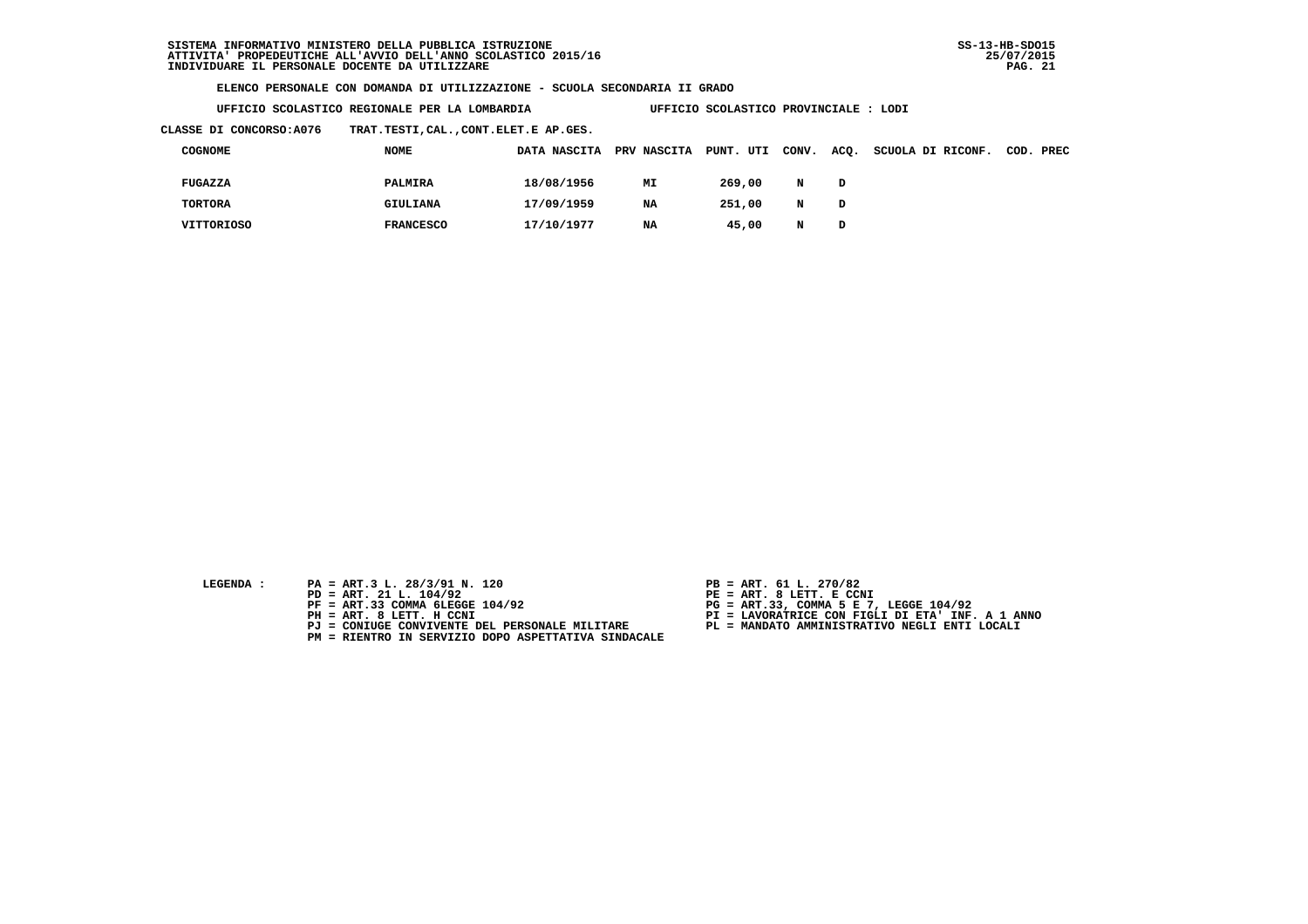**UFFICIO SCOLASTICO REGIONALE PER LA LOMBARDIA UFFICIO SCOLASTICO PROVINCIALE : LODI**

 **CLASSE DI CONCORSO:A076 TRAT.TESTI,CAL.,CONT.ELET.E AP.GES.**

| COGNOME        | <b>NOME</b>      | DATA NASCITA | PRV NASCITA PUNT. UTI |        | CONV. ACQ. |   | SCUOLA DI RICONF. | COD. PREC |
|----------------|------------------|--------------|-----------------------|--------|------------|---|-------------------|-----------|
| FUGAZZA        | PALMIRA          | 18/08/1956   | MI                    | 269,00 | N          | D |                   |           |
| <b>TORTORA</b> | GIULIANA         | 17/09/1959   | <b>NA</b>             | 251,00 | N          | D |                   |           |
| VITTORIOSO     | <b>FRANCESCO</b> | 17/10/1977   | <b>NA</b>             | 45,00  | N          | D |                   |           |

- **LEGENDA :** PA = ART.3 L. 28/3/91 N. 120 <br>PD = ART. 21 L. 104/92 <br>PE = ART. 8 LETT. E CCN
- **PD = ART. 21 L. 104/92 PE = ART. 8 LETT. E CCNI**
	-
	-
	-
	- **PM = RIENTRO IN SERVIZIO DOPO ASPETTATIVA SINDACALE**
- 
- 
- 
- **PF = ART.33 COMMA 6LEGGE 104/92 PG = ART.33, COMMA 5 E 7, LEGGE 104/92 PH = ART. 8 LETT. H CCNI PI = LAVORATRICE CON FIGLI DI ETA' INF. A 1 ANNO**
	- **PJ = CONIUGE CONVIVENTE DEL PERSONALE MILITARE PL = MANDATO AMMINISTRATIVO NEGLI ENTI LOCALI**
		-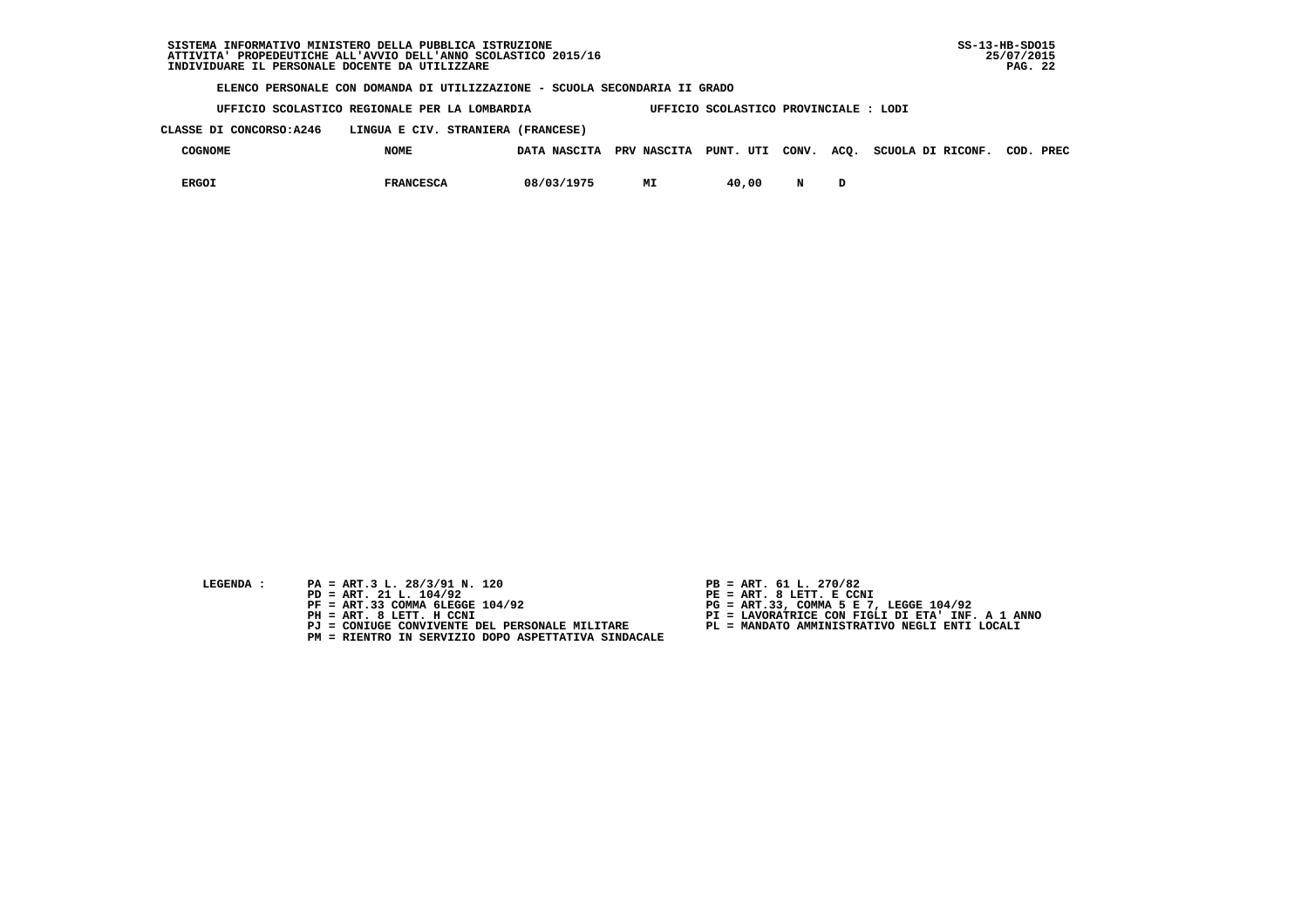**UFFICIO SCOLASTICO REGIONALE PER LA LOMBARDIA UFFICIO SCOLASTICO PROVINCIALE : LODI**

 **CLASSE DI CONCORSO:A246 LINGUA E CIV. STRANIERA (FRANCESE)**

| <b>COGNOME</b> | <b>NOME</b>      | DATA NASCITA PRV NASCITA PUNT. UTI CONV. ACO. |    |       |   | SCUOLA DI RICONF. | COD. | PREC |
|----------------|------------------|-----------------------------------------------|----|-------|---|-------------------|------|------|
| <b>ERGOI</b>   | <b>FRANCESCA</b> | 08/03/1975                                    | MI | 40,00 | N |                   |      |      |

- **LEGENDA :** PA = ART.3 L. 28/3/91 N. 120 <br>PD = ART. 21 L. 104/92 <br>PE = ART. 8 LETT. E CCN
- **PD = ART. 21 L. 104/92 PE = ART. 8 LETT. E CCNI**
	-
	-
	-
	- **PM = RIENTRO IN SERVIZIO DOPO ASPETTATIVA SINDACALE**
- 
- 
- 
- **PF = ART.33 COMMA 6LEGGE 104/92 PG = ART.33, COMMA 5 E 7, LEGGE 104/92 PH = ART. 8 LETT. H CCNI PI = LAVORATRICE CON FIGLI DI ETA' INF. A 1 ANNO**
	- **PJ = CONIUGE CONVIVENTE DEL PERSONALE MILITARE PL = MANDATO AMMINISTRATIVO NEGLI ENTI LOCALI**
		-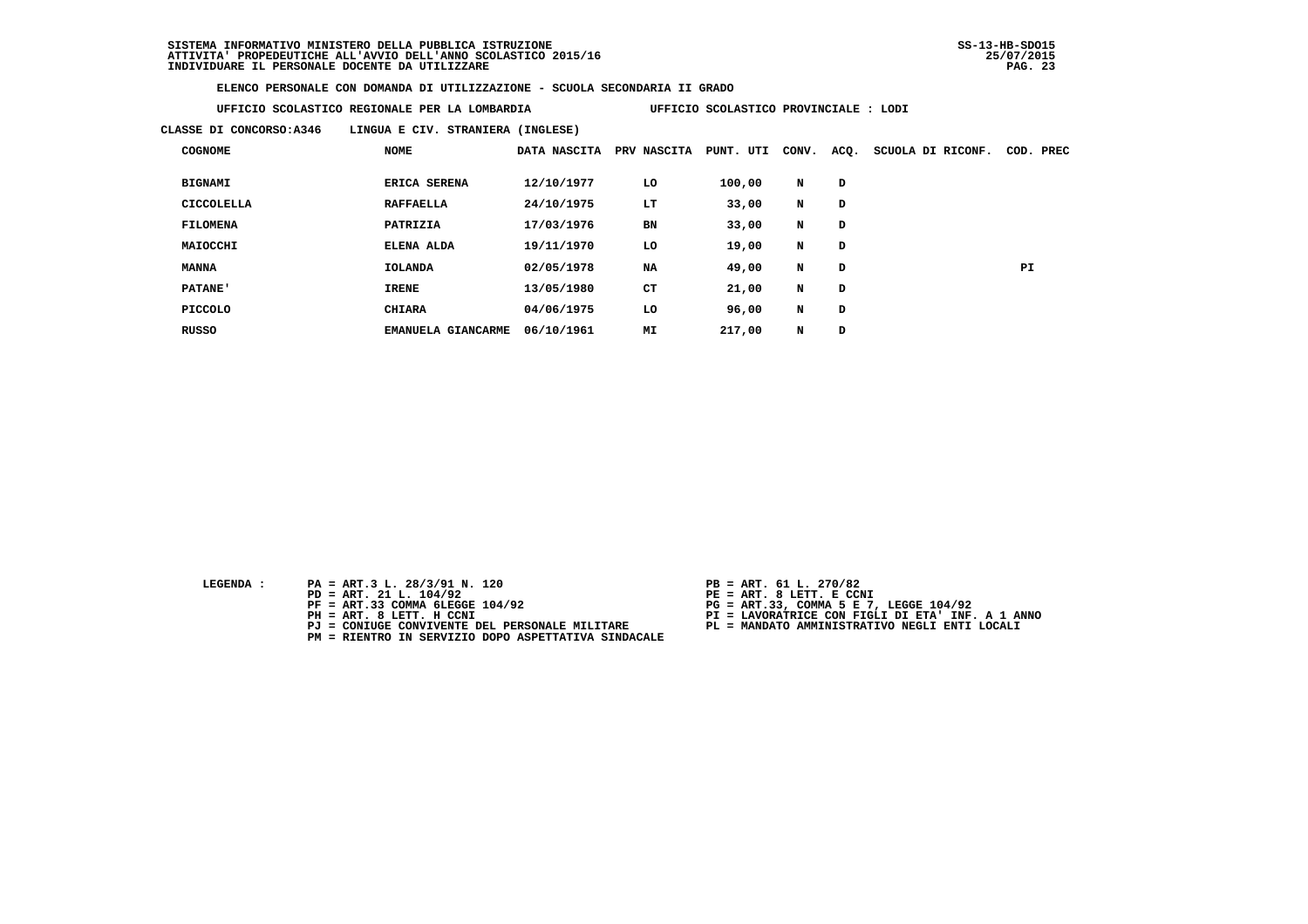**UFFICIO SCOLASTICO REGIONALE PER LA LOMBARDIA UFFICIO SCOLASTICO PROVINCIALE : LODI**

 **CLASSE DI CONCORSO:A346 LINGUA E CIV. STRANIERA (INGLESE)**

| <b>COGNOME</b>  | <b>NOME</b>                         | DATA NASCITA | PRV NASCITA | PUNT. UTI | CONV. | ACQ. | SCUOLA DI RICONF. | COD. PREC |
|-----------------|-------------------------------------|--------------|-------------|-----------|-------|------|-------------------|-----------|
| <b>BIGNAMI</b>  | <b>ERICA SERENA</b>                 | 12/10/1977   | LO          | 100,00    | N     | D    |                   |           |
| CICCOLELLA      | <b>RAFFAELLA</b>                    | 24/10/1975   | LT          | 33,00     | N     | D    |                   |           |
| <b>FILOMENA</b> | PATRIZIA                            | 17/03/1976   | <b>BN</b>   | 33,00     | N     | D    |                   |           |
| MAIOCCHI        | ELENA ALDA                          | 19/11/1970   | LO          | 19,00     | N     | D    |                   |           |
| <b>MANNA</b>    | <b>IOLANDA</b>                      | 02/05/1978   | <b>NA</b>   | 49,00     | N     | D    |                   | PI        |
| <b>PATANE'</b>  | <b>IRENE</b>                        | 13/05/1980   | CT          | 21,00     | N     | D    |                   |           |
| PICCOLO         | <b>CHIARA</b>                       | 04/06/1975   | LO          | 96,00     | N     | D    |                   |           |
| <b>RUSSO</b>    | <b>GIANCARME</b><br><b>EMANUELA</b> | 06/10/1961   | MI          | 217,00    | N     | D    |                   |           |

- **LEGENDA :** PA = ART.3 L. 28/3/91 N. 120 <br>PD = ART. 21 L. 104/92 <br>PE = ART. 8 LETT. E CCN
- **PD = ART. 21 L. 104/92 PE = ART. 8 LETT. E CCNI**
	-
	-
	-
	- **PM = RIENTRO IN SERVIZIO DOPO ASPETTATIVA SINDACALE**
- 
- 
- 
- **PF = ART.33 COMMA 6LEGGE 104/92 PG = ART.33, COMMA 5 E 7, LEGGE 104/92 PH = ART. 8 LETT. H CCNI PI = LAVORATRICE CON FIGLI DI ETA' INF. A 1 ANNO**
	- **PJ = CONIUGE CONVIVENTE DEL PERSONALE MILITARE PL = MANDATO AMMINISTRATIVO NEGLI ENTI LOCALI**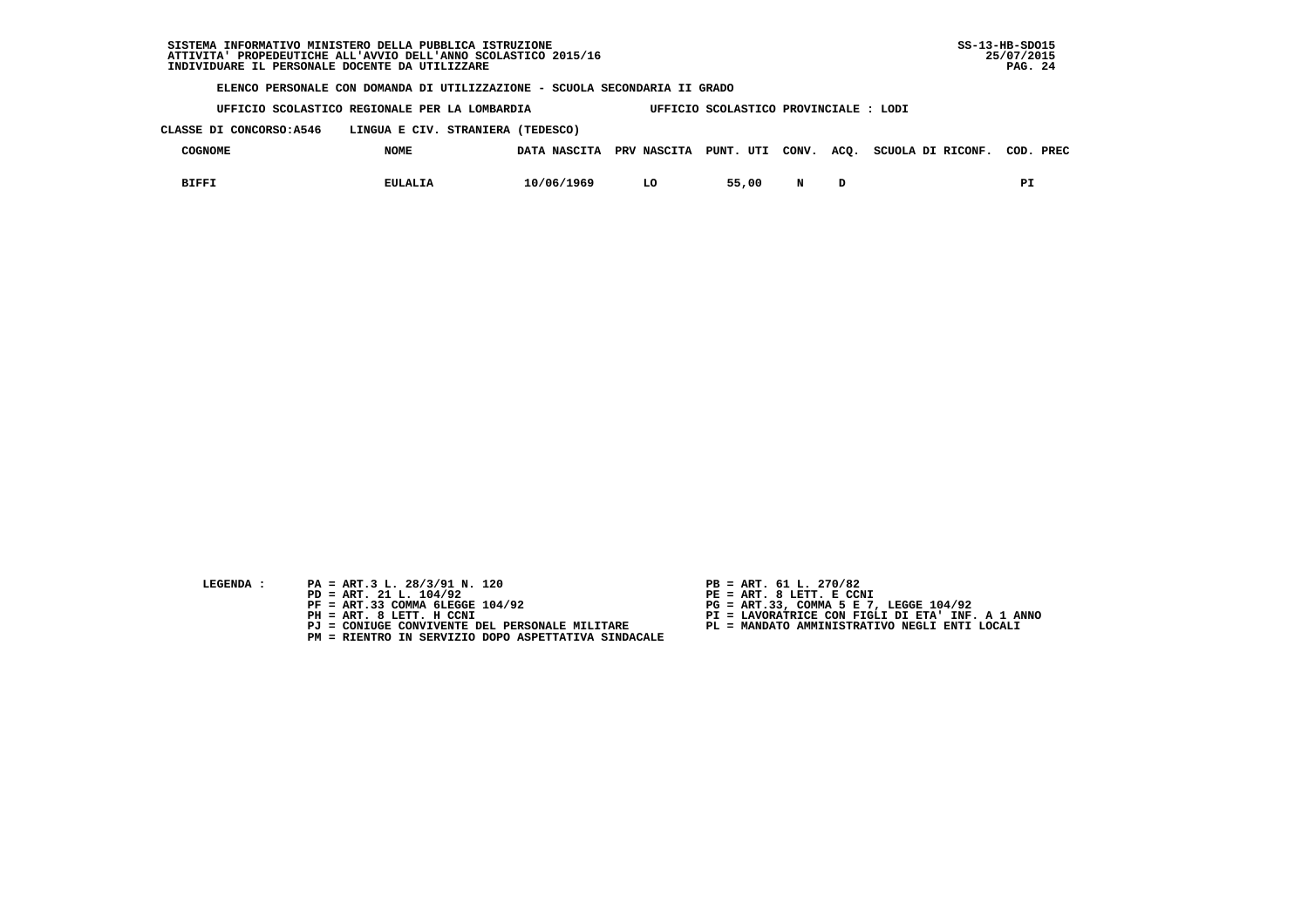|                          | SISTEMA INFORMATIVO MINISTERO DELLA PUBBLICA ISTRUZIONE<br>ATTIVITA PROPEDEUTICHE ALL'AVVIO DELL'ANNO SCOLASTICO 2015/16<br>INDIVIDUARE IL PERSONALE DOCENTE DA UTILIZZARE |              |             |                                      |       |      |                   | $SS-13-HB-SDO15$<br>25/07/2015<br>PAG. 24 |
|--------------------------|----------------------------------------------------------------------------------------------------------------------------------------------------------------------------|--------------|-------------|--------------------------------------|-------|------|-------------------|-------------------------------------------|
|                          | ELENCO PERSONALE CON DOMANDA DI UTILIZZAZIONE - SCUOLA SECONDARIA II GRADO                                                                                                 |              |             |                                      |       |      |                   |                                           |
|                          | UFFICIO SCOLASTICO REGIONALE PER LA LOMBARDIA                                                                                                                              |              |             | UFFICIO SCOLASTICO PROVINCIALE: LODI |       |      |                   |                                           |
| CLASSE DI CONCORSO: A546 | LINGUA E CIV. STRANIERA (TEDESCO)                                                                                                                                          |              |             |                                      |       |      |                   |                                           |
| <b>COGNOME</b>           | <b>NOME</b>                                                                                                                                                                | DATA NASCITA | PRV NASCITA | PUNT. UTI                            | CONV. | ACO. | SCUOLA DI RICONF. | PREC<br>COD.                              |
| <b>BIFFI</b>             | <b>EULALIA</b>                                                                                                                                                             | 10/06/1969   | LO          | 55,00                                | N     | D    |                   | РI                                        |

| <b>LEGENDA</b> |  |
|----------------|--|
|                |  |

- **EGENDA :** PA = ART.3 L. 28/3/91 N. 120
	- **PD = ART. 21 L. 104/92**<br>**PF = ART. 21 L. 104/92**<br>**PF = ART.33 COMMA 6LEGGE 104/92**
	-
	-
	-
- **PJ = CONIUGE CONVIVENTE DEL PERSONALE MILITARE PL = MANDATO AMMINISTRATIVO NEGLI ENTI LOCALI PM = RIENTRO IN SERVIZIO DOPO ASPETTATIVA SINDACALE**
- 
- 
- 
- **PF = ART.33 COMMA 6LEGGE 104/92 PG = ART.33, COMMA 5 E 7, LEGGE 104/92 PH = ART. 8 LETT. H CCNI PI = LAVORATRICE CON FIGLI DI ETA' INF. A 1 ANNO**
	-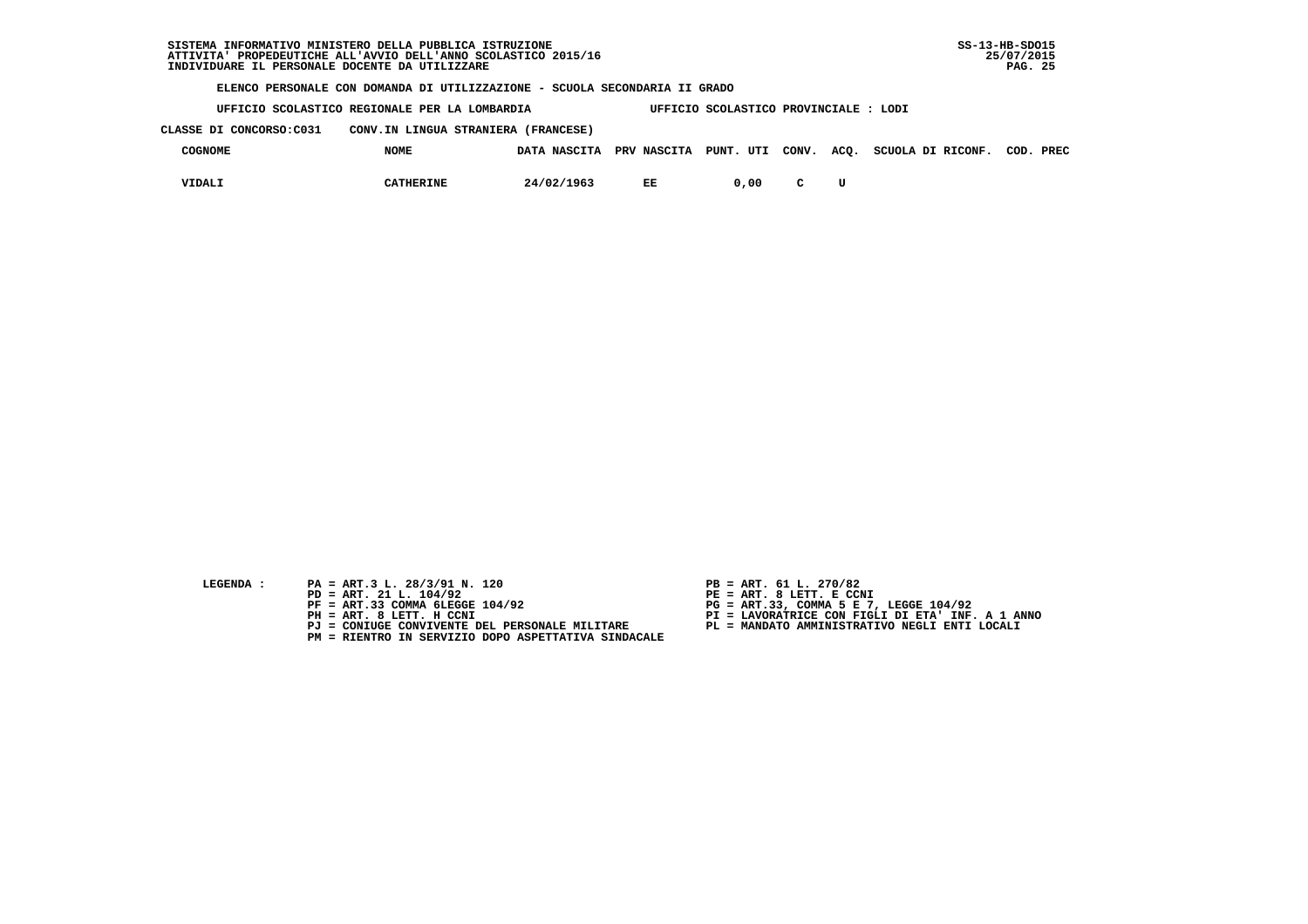**UFFICIO SCOLASTICO REGIONALE PER LA LOMBARDIA UFFICIO SCOLASTICO PROVINCIALE : LODI**

 **CLASSE DI CONCORSO:C031 CONV.IN LINGUA STRANIERA (FRANCESE)**

| COGNOME | <b>NOME</b> |            |    |      |              | DATA NASCITA PRV NASCITA PUNT. UTI CONV. ACQ. SCUOLA DI RICONF. | COD. PREC |  |
|---------|-------------|------------|----|------|--------------|-----------------------------------------------------------------|-----------|--|
| VIDALI  | CATHERINE   | 24/02/1963 | EE | 0.00 | $\mathbf{C}$ |                                                                 |           |  |

- 
- **LEGENDA :** PA = ART.3 L. 28/3/91 N. 120 <br>PD = ART. 21 L. 104/92 <br>PE = ART. 8 LETT. E CCN  **PD = ART. 21 L. 104/92 PE = ART. 8 LETT. E CCNI**
	-
	-
	-
	- **PM = RIENTRO IN SERVIZIO DOPO ASPETTATIVA SINDACALE**
- 
- 
- 
- **PF = ART.33 COMMA 6LEGGE 104/92 PG = ART.33, COMMA 5 E 7, LEGGE 104/92 PH = ART. 8 LETT. H CCNI PI = LAVORATRICE CON FIGLI DI ETA' INF. A 1 ANNO**
	- **PJ = CONIUGE CONVIVENTE DEL PERSONALE MILITARE PL = MANDATO AMMINISTRATIVO NEGLI ENTI LOCALI**
		-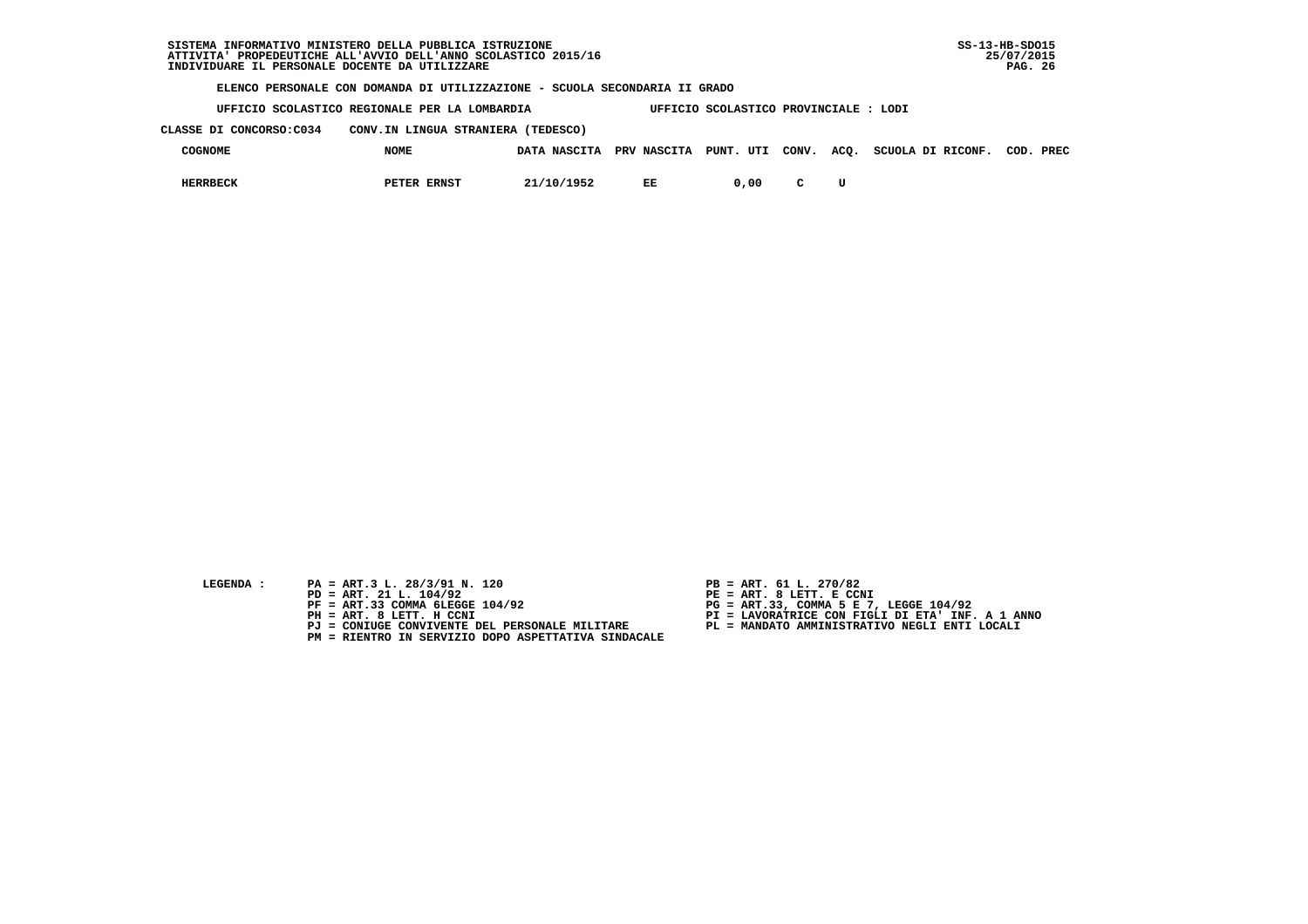**UFFICIO SCOLASTICO REGIONALE PER LA LOMBARDIA UFFICIO SCOLASTICO PROVINCIALE : LODI**

 **CLASSE DI CONCORSO:C034 CONV.IN LINGUA STRANIERA (TEDESCO)**

| <b>COGNOME</b>  | <b>NOME</b>        | DATA NASCITA | <b>PRV NASCITA</b> | PUNT. UTI | CONV. ACQ. | SCUOLA DI RICONF. | COD. | PREC |
|-----------------|--------------------|--------------|--------------------|-----------|------------|-------------------|------|------|
| <b>IERRBECK</b> | <b>PETER ERNST</b> | 21/10/1952   | EE                 | ,00       |            |                   |      |      |

- **LEGENDA :** PA = ART.3 L. 28/3/91 N. 120 <br>PD = ART. 21 L. 104/92 <br>PE = ART. 8 LETT. E CCN
- **PD = ART. 21 L. 104/92 PE = ART. 8 LETT. E CCNI**
	-
	-
	-
	- **PM = RIENTRO IN SERVIZIO DOPO ASPETTATIVA SINDACALE**
- 
- 
- 
- **PF = ART.33 COMMA 6LEGGE 104/92 PG = ART.33, COMMA 5 E 7, LEGGE 104/92 PH = ART. 8 LETT. H CCNI PI = LAVORATRICE CON FIGLI DI ETA' INF. A 1 ANNO**
	- **PJ = CONIUGE CONVIVENTE DEL PERSONALE MILITARE PL = MANDATO AMMINISTRATIVO NEGLI ENTI LOCALI**
		-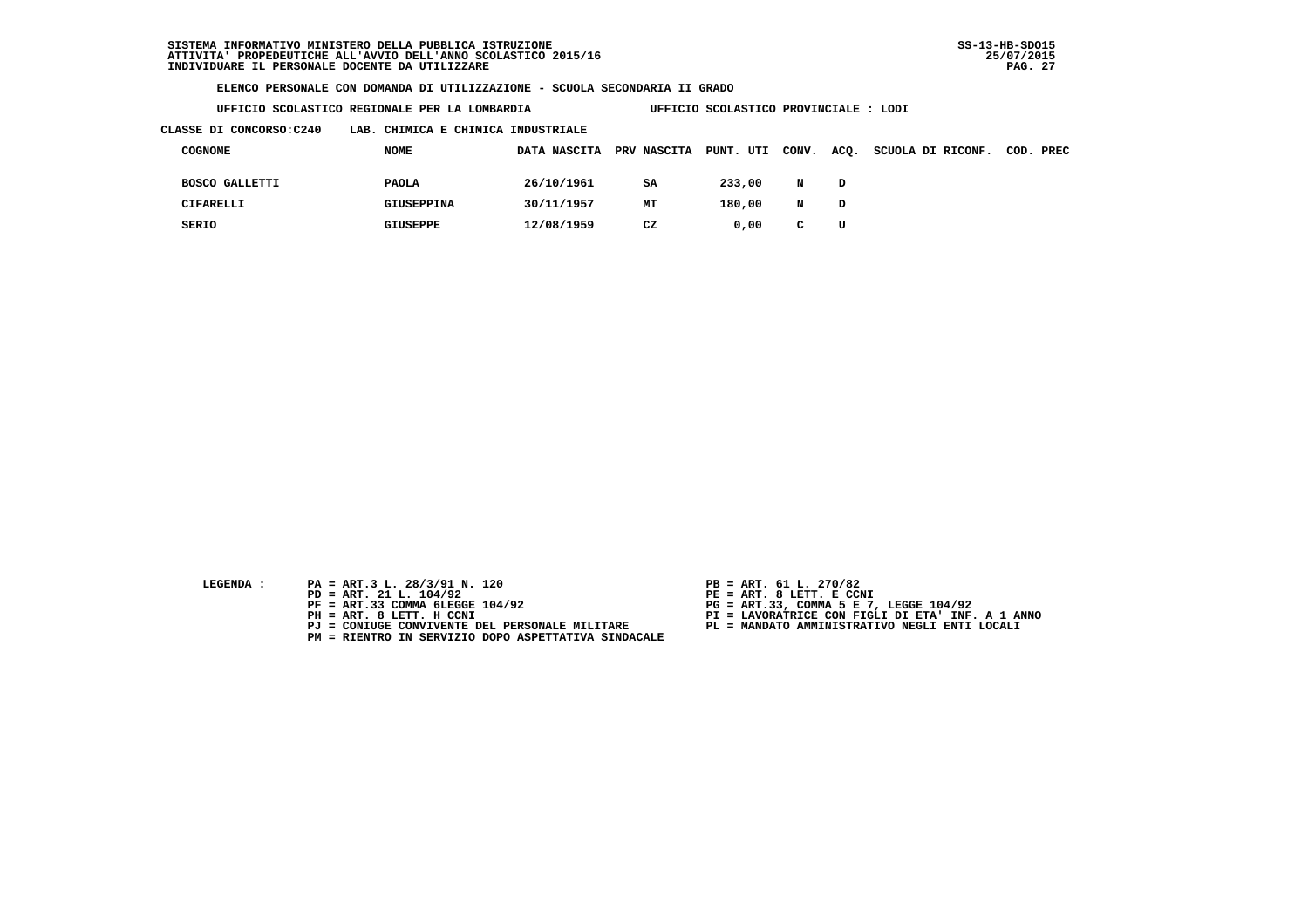| UFFICIO SCOLASTICO REGIONALE PER LA LOMBARDIA |  |
|-----------------------------------------------|--|
|-----------------------------------------------|--|

 **CLASSE DI CONCORSO:C240 LAB. CHIMICA E CHIMICA INDUSTRIALE**

| COGNOME               | <b>NOME</b>       | DATA NASCITA | PRV NASCITA PUNT. UTI CONV. ACQ. |        |   |              | SCUOLA DI RICONF. | COD. PREC |
|-----------------------|-------------------|--------------|----------------------------------|--------|---|--------------|-------------------|-----------|
| <b>BOSCO GALLETTI</b> | <b>PAOLA</b>      | 26/10/1961   | SA                               | 233,00 | N | D            |                   |           |
| CIFARELLI             | <b>GIUSEPPINA</b> | 30/11/1957   | MT                               | 180,00 | N | $\mathbf{D}$ |                   |           |
| SERIO                 | GIUSEPPE          | 12/08/1959   | CZ                               | 0.00   | C | U            |                   |           |

- **LEGENDA :** PA = ART.3 L. 28/3/91 N. 120 <br>PD = ART. 21 L. 104/92 <br>PE = ART. 8 LETT. E CCN
- **PD = ART. 21 L. 104/92 PE = ART. 8 LETT. E CCNI**
	-
	-
	-
	- **PM = RIENTRO IN SERVIZIO DOPO ASPETTATIVA SINDACALE**
- 

 **UFFICIO SCOLASTICO PROVINCIALE : LODI** 

- 
- 
- **PF = ART.33 COMMA 6LEGGE 104/92 PG = ART.33, COMMA 5 E 7, LEGGE 104/92 PH = ART. 8 LETT. H CCNI PI = LAVORATRICE CON FIGLI DI ETA' INF. A 1 ANNO**
	- **PJ = CONIUGE CONVIVENTE DEL PERSONALE MILITARE PL = MANDATO AMMINISTRATIVO NEGLI ENTI LOCALI**
		-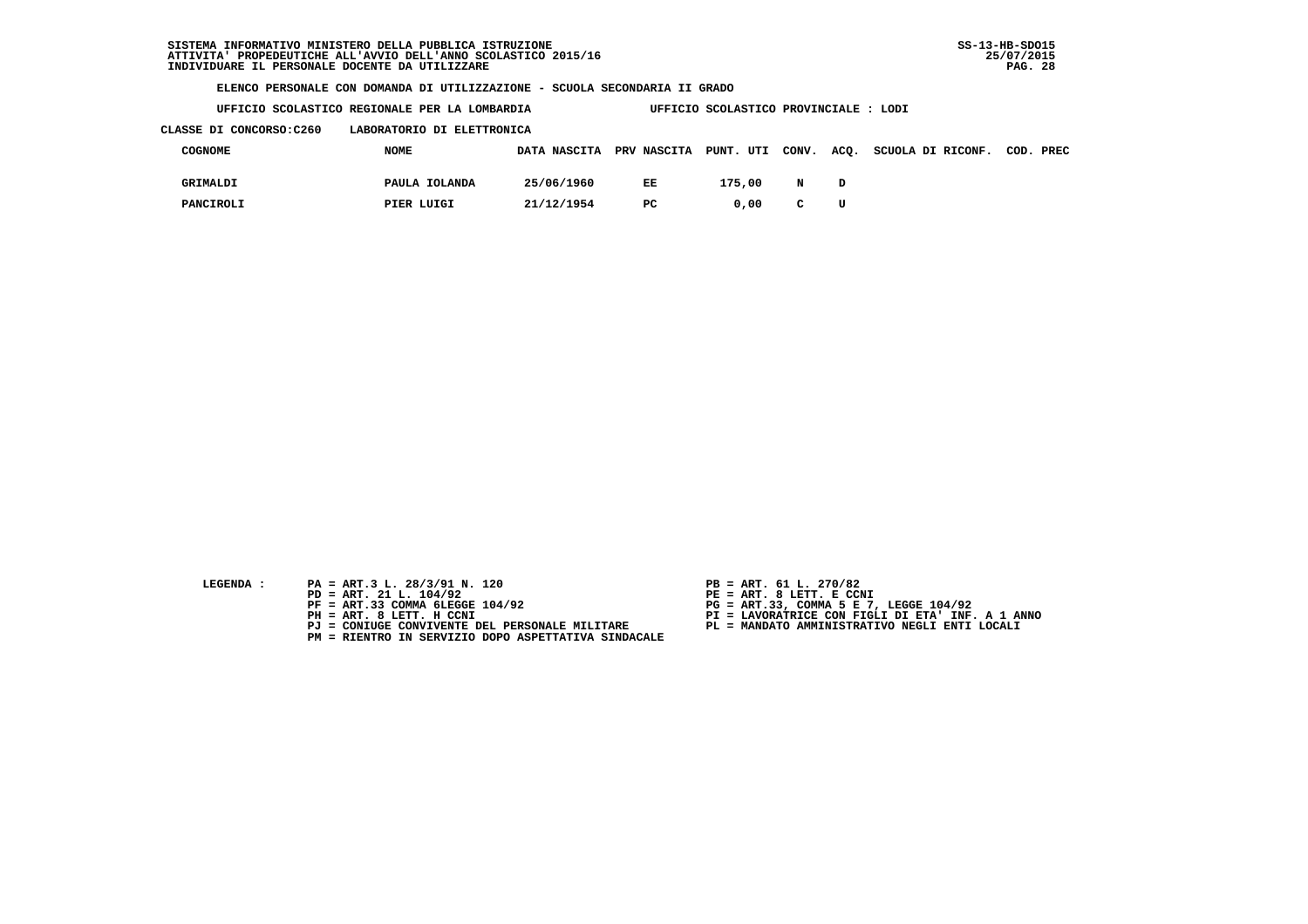**UFFICIO SCOLASTICO REGIONALE PER LA LOMBARDIA UFFICIO SCOLASTICO PROVINCIALE : LODI**

### **CLASSE DI CONCORSO:C260 LABORATORIO DI ELETTRONICA**

| COGNOME   | <b>NOME</b>   | DATA NASCITA PRV NASCITA PUNT. UTI CONV. |     |        |   |   | ACQ. SCUOLA DI RICONF. | COD. PREC |
|-----------|---------------|------------------------------------------|-----|--------|---|---|------------------------|-----------|
| GRIMALDI  | PAULA IOLANDA | 25/06/1960                               | EE  | 175,00 | N |   |                        |           |
| PANCIROLI | PIER LUIGI    | 21/12/1954                               | PC. | 0.00   | C | U |                        |           |

- **LEGENDA :** PA = ART.3 L. 28/3/91 N. 120 <br>PD = ART. 21 L. 104/92 <br>PE = ART. 8 LETT. E CCN
- **PD = ART. 21 L. 104/92 PE = ART. 8 LETT. E CCNI**
	-
	-
	-
	- **PM = RIENTRO IN SERVIZIO DOPO ASPETTATIVA SINDACALE**
- 
- 
- 
- **PF = ART.33 COMMA 6LEGGE 104/92 PG = ART.33, COMMA 5 E 7, LEGGE 104/92 PH = ART. 8 LETT. H CCNI PI = LAVORATRICE CON FIGLI DI ETA' INF. A 1 ANNO**
	- **PJ = CONIUGE CONVIVENTE DEL PERSONALE MILITARE PL = MANDATO AMMINISTRATIVO NEGLI ENTI LOCALI**
		-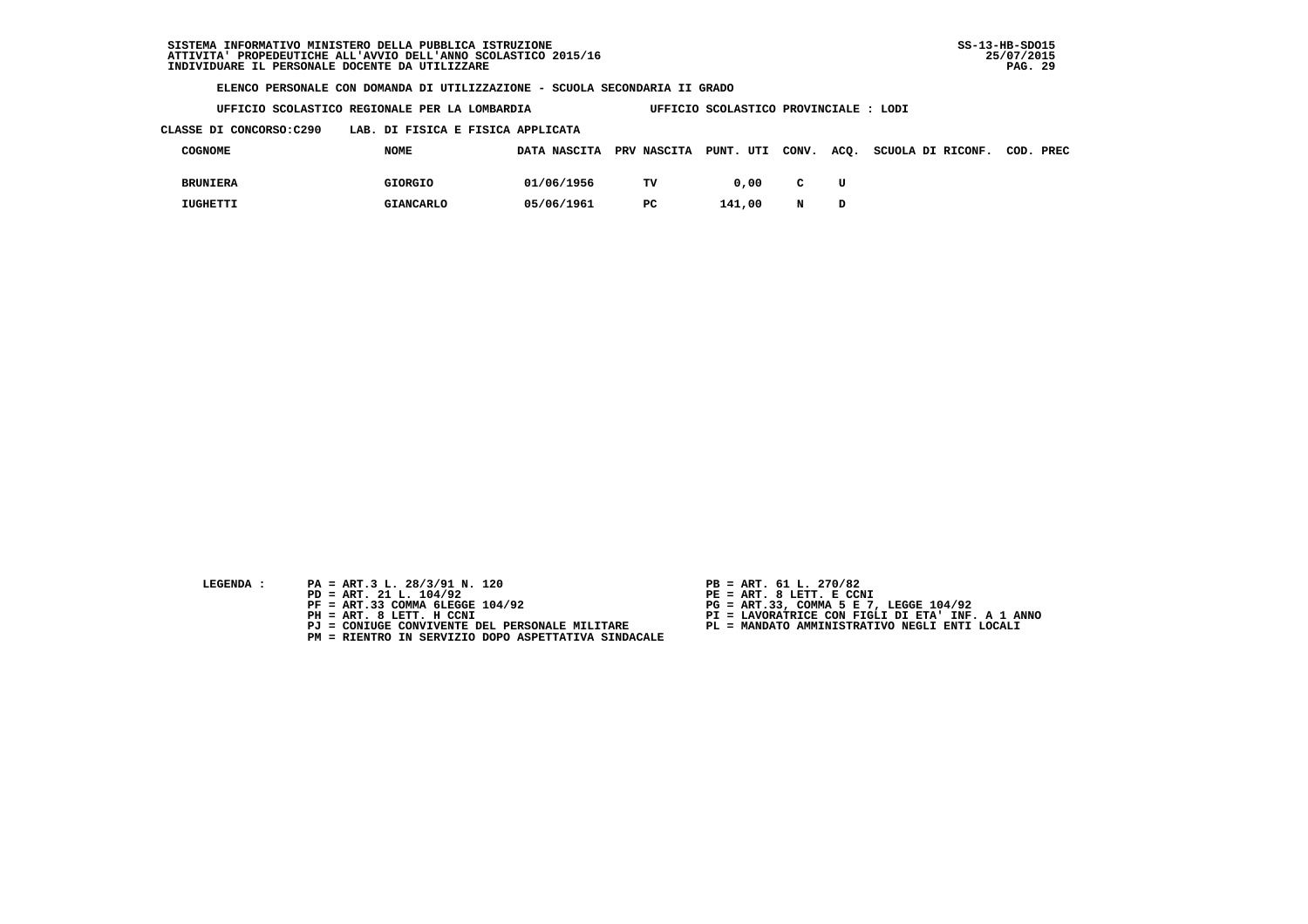**UFFICIO SCOLASTICO REGIONALE PER LA LOMBARDIA UFFICIO SCOLASTICO PROVINCIALE : LODI**

 **CLASSE DI CONCORSO:C290 LAB. DI FISICA E FISICA APPLICATA**

| COGNOME         | <b>NOME</b>      | DATA NASCITA PRV NASCITA PUNT. UTI CONV. |    |        |              |   | ACQ. SCUOLA DI RICONF. | COD. PREC |  |
|-----------------|------------------|------------------------------------------|----|--------|--------------|---|------------------------|-----------|--|
| <b>BRUNIERA</b> | GIORGIO          | 01/06/1956                               | TV | 0.00   | $\mathbf{C}$ | U |                        |           |  |
| IUGHETTI        | <b>GIANCARLO</b> | 05/06/1961                               | PC | 141,00 | N            |   |                        |           |  |

- 
- **LEGENDA :** PA = ART.3 L. 28/3/91 N. 120 <br>PD = ART. 21 L. 104/92 <br>PE = ART. 8 LETT. E CCN  **PD = ART. 21 L. 104/92 PE = ART. 8 LETT. E CCNI**
	-
	-
	-
	- **PM = RIENTRO IN SERVIZIO DOPO ASPETTATIVA SINDACALE**
- 
- 
- 
- **PF = ART.33 COMMA 6LEGGE 104/92 PG = ART.33, COMMA 5 E 7, LEGGE 104/92 PH = ART. 8 LETT. H CCNI PI = LAVORATRICE CON FIGLI DI ETA' INF. A 1 ANNO**
	- **PJ = CONIUGE CONVIVENTE DEL PERSONALE MILITARE PL = MANDATO AMMINISTRATIVO NEGLI ENTI LOCALI**
		-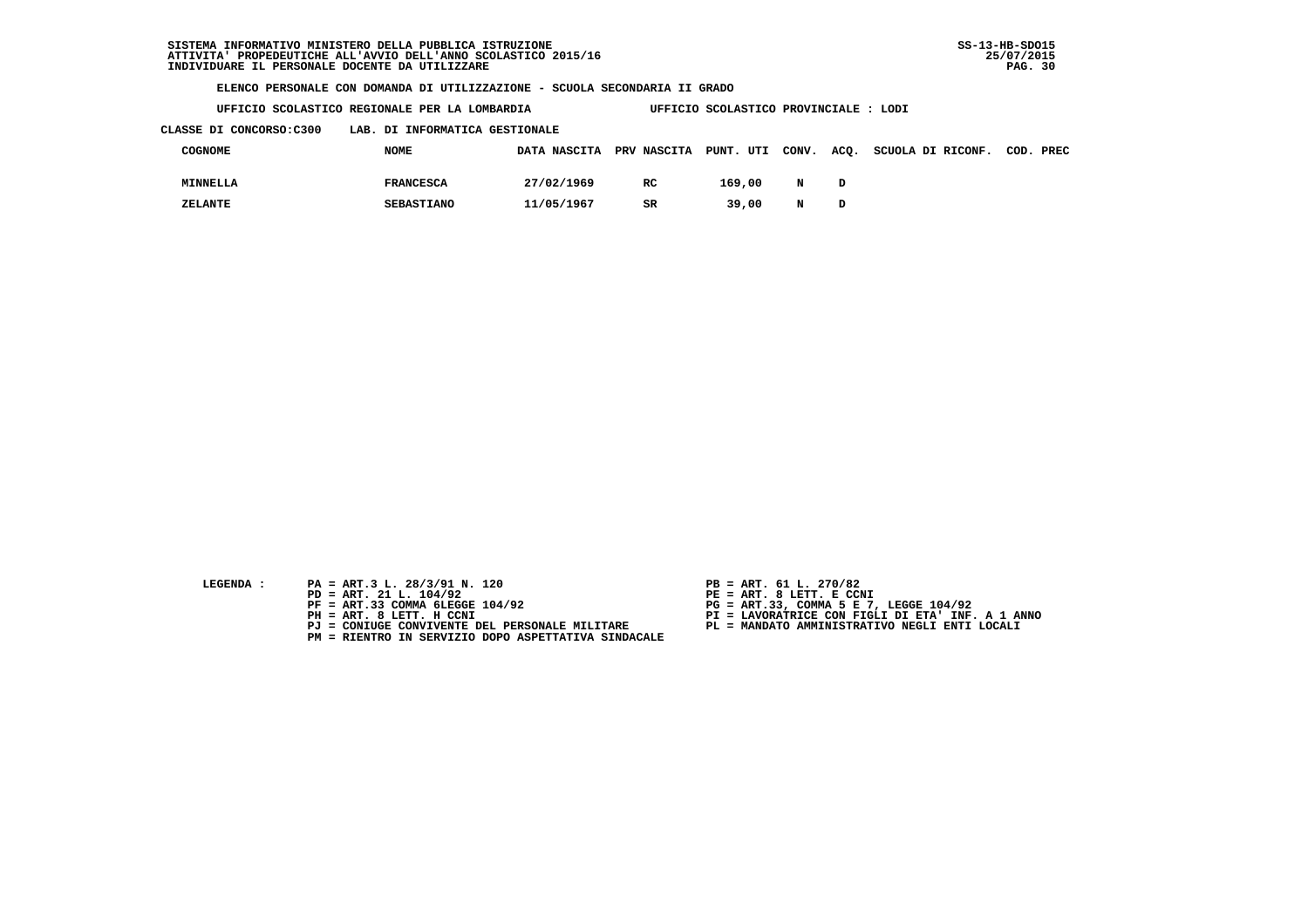| UFFICIO SCOLASTICO REGIONALE PER LA LOMBARDIA |  | UFFICIO SCOLASTICO PROVINCIALE : LODI |  |
|-----------------------------------------------|--|---------------------------------------|--|

 **CLASSE DI CONCORSO:C300 LAB. DI INFORMATICA GESTIONALE**

| COGNOME  | <b>NOME</b>       | DATA NASCITA PRV NASCITA PUNT. UTI CONV. |     |        |   | ACQ. SCUOLA DI RICONF. | COD. PREC |
|----------|-------------------|------------------------------------------|-----|--------|---|------------------------|-----------|
| MINNELLA | <b>FRANCESCA</b>  | 27/02/1969                               | RC. | 169,00 | N |                        |           |
| ZELANTE  | <b>SEBASTIANO</b> | 11/05/1967                               | SR  | 39,00  | N |                        |           |

- 
- **LEGENDA :** PA = ART.3 L. 28/3/91 N. 120 <br>PD = ART. 21 L. 104/92 <br>PE = ART. 8 LETT. E CCN  **PD = ART. 21 L. 104/92 PE = ART. 8 LETT. E CCNI**
	-
	-
	-
	- **PM = RIENTRO IN SERVIZIO DOPO ASPETTATIVA SINDACALE**
- 
- 
- 
- **PF = ART.33 COMMA 6LEGGE 104/92 PG = ART.33, COMMA 5 E 7, LEGGE 104/92 PH = ART. 8 LETT. H CCNI PI = LAVORATRICE CON FIGLI DI ETA' INF. A 1 ANNO**
	- **PJ = CONIUGE CONVIVENTE DEL PERSONALE MILITARE PL = MANDATO AMMINISTRATIVO NEGLI ENTI LOCALI**
		-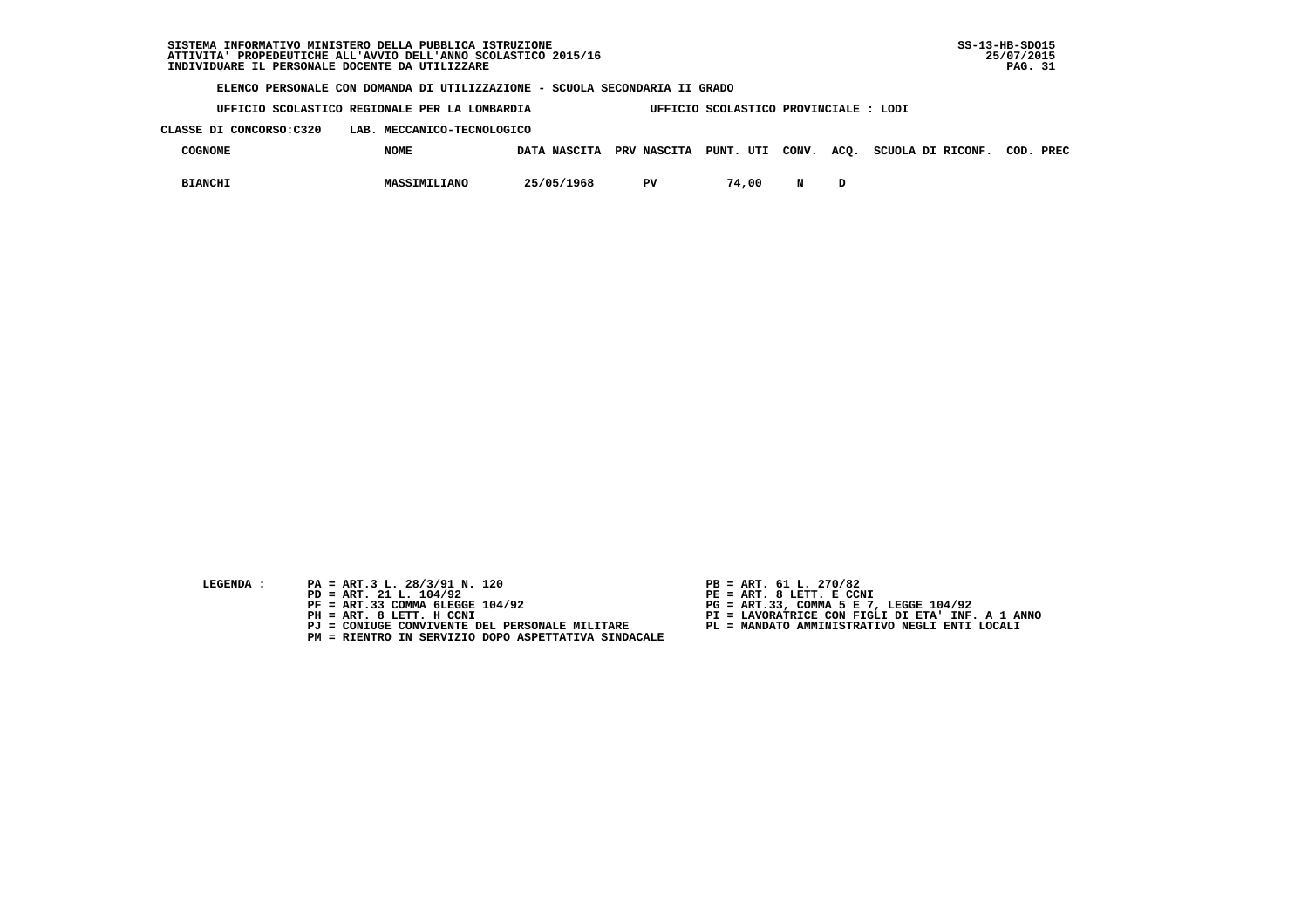| SISTEMA INFORMATIVO MINISTERO DELLA PUBBLICA ISTRUZIONE        | $SS-13-HB-SDO15$ |
|----------------------------------------------------------------|------------------|
| ATTIVITA' PROPEDEUTICHE ALL'AVVIO DELL'ANNO SCOLASTICO 2015/16 | 25/07/2015       |
| INDIVIDUARE IL PERSONALE DOCENTE DA UTILIZZARE                 | . 31<br>PAG.     |

 **UFFICIO SCOLASTICO REGIONALE PER LA LOMBARDIA UFFICIO SCOLASTICO PROVINCIALE : LODI**

 **CLASSE DI CONCORSO:C320 LAB. MECCANICO-TECNOLOGICO**

| <b>COGNOME</b> | <b>NOME</b>  | DATA NASCITA PRV NASCITA PUNT. UTI CONV. ACQ. |                 |       |   | SCUOLA DI RICONF. | COD. | <b>PREC</b> |
|----------------|--------------|-----------------------------------------------|-----------------|-------|---|-------------------|------|-------------|
| <b>BIANCHI</b> | MASSIMILIANO | 25/05/1968                                    | DV <sub>7</sub> | 74,00 | N |                   |      |             |

- **LEGENDA :** PA = ART.3 L. 28/3/91 N. 120 <br>PD = ART. 21 L. 104/92 <br>PE = ART. 8 LETT. E CCN
- **PD = ART. 21 L. 104/92 PE = ART. 8 LETT. E CCNI**
	-
	-
	-
	- **PM = RIENTRO IN SERVIZIO DOPO ASPETTATIVA SINDACALE**
- 
- 
- 
- **PF = ART.33 COMMA 6LEGGE 104/92 PG = ART.33, COMMA 5 E 7, LEGGE 104/92 PH = ART. 8 LETT. H CCNI PI = LAVORATRICE CON FIGLI DI ETA' INF. A 1 ANNO**
	- **PJ = CONIUGE CONVIVENTE DEL PERSONALE MILITARE PL = MANDATO AMMINISTRATIVO NEGLI ENTI LOCALI**
		-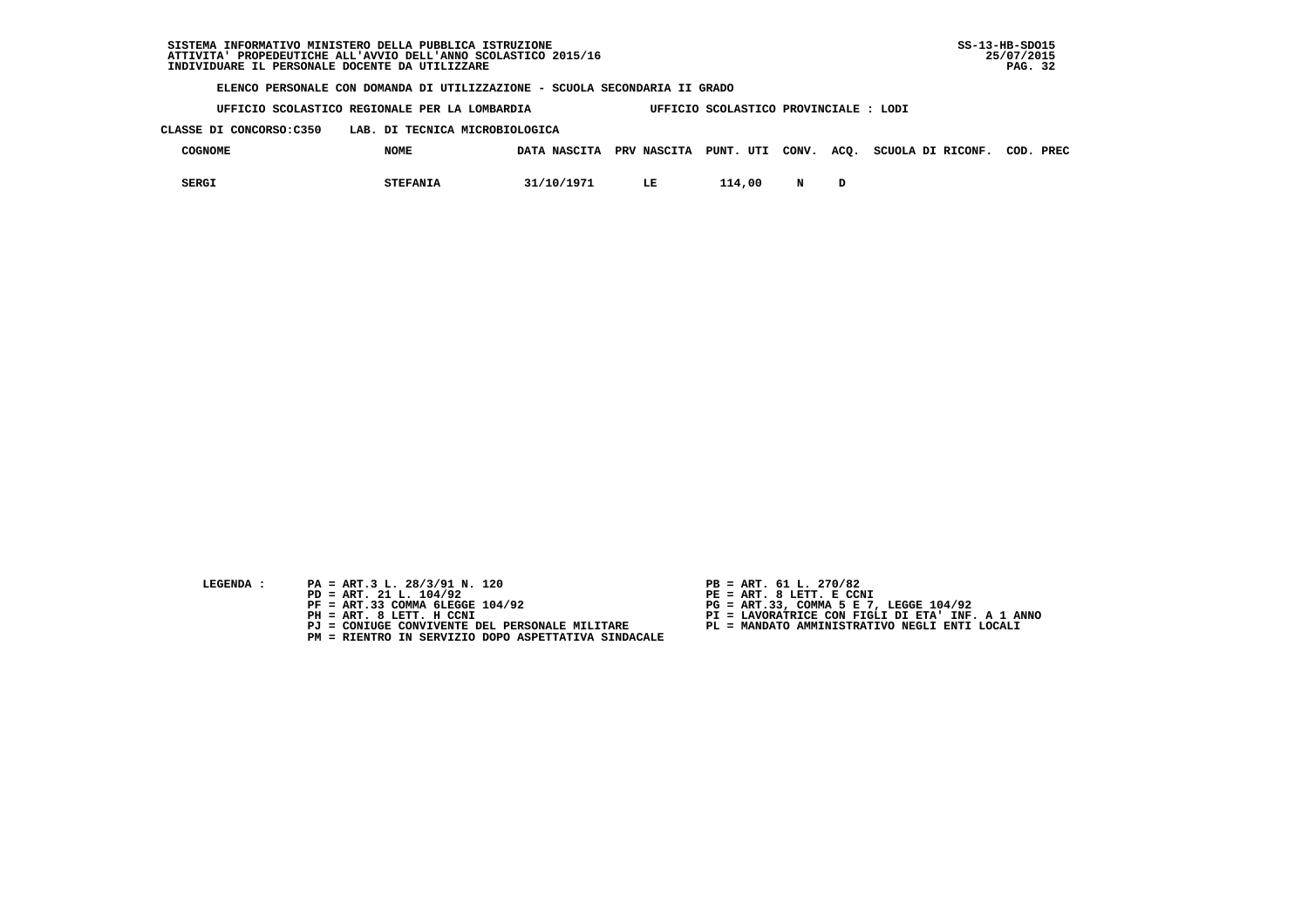**UFFICIO SCOLASTICO REGIONALE PER LA LOMBARDIA UFFICIO SCOLASTICO PROVINCIALE : LODI**

 **CLASSE DI CONCORSO:C350 LAB. DI TECNICA MICROBIOLOGICA**

| COGNOME      | <b>NOME</b>     | DATA NASCITA | PRV NASCITA |        |   | PUNT. UTI CONV. ACQ. SCUOLA DI RICONF. | COD. | PREC |
|--------------|-----------------|--------------|-------------|--------|---|----------------------------------------|------|------|
| <b>SERGI</b> | <b>STEFANIA</b> | 31/10/1971   | LE          | 114,00 | N |                                        |      |      |

- **LEGENDA :** PA = ART.3 L. 28/3/91 N. 120 <br>PD = ART. 21 L. 104/92 <br>PE = ART. 8 LETT. E CCN
- **PD = ART. 21 L. 104/92 PE = ART. 8 LETT. E CCNI**
	-
	-
	-
	- **PM = RIENTRO IN SERVIZIO DOPO ASPETTATIVA SINDACALE**
- 
- 
- 
- **PF = ART.33 COMMA 6LEGGE 104/92 PG = ART.33, COMMA 5 E 7, LEGGE 104/92 PH = ART. 8 LETT. H CCNI PI = LAVORATRICE CON FIGLI DI ETA' INF. A 1 ANNO**
	- **PJ = CONIUGE CONVIVENTE DEL PERSONALE MILITARE PL = MANDATO AMMINISTRATIVO NEGLI ENTI LOCALI**
		-